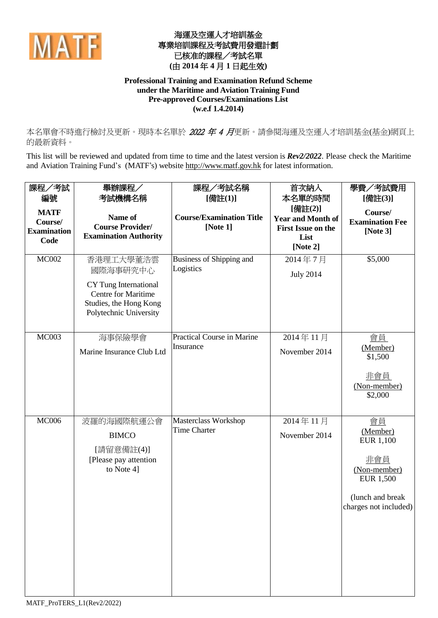

## 海運及空運人才培訓基金 專業培訓課程及考試費用發還計劃 已核准的課程/考試名單 **(**由 **2014** 年 **4** 月 **1** 日起生效**)**

## **Professional Training and Examination Refund Scheme under the Maritime and Aviation Training Fund Pre-approved Courses/Examinations List (w.e.f 1.4.2014)**

本名單會不時進行檢討及更新。現時本名單於 2022 年 4 月更新。請參閱海運及空運人才培訓基金(基金)網頁上 的最新資料。

This list will be reviewed and updated from time to time and the latest version is *Rev2/2022*. Please check the Maritime and Aviation Training Fund's (MATF's) website [http://www.matf.gov.hk](http://www.matf.gov.hk/) for latest information.

| 課程/考試                                                | 舉辦課程/                                                                                                                     | 課程/考試名稱                                        | 首次納入                                                                      | 學費/考試費用                                                                                                                    |
|------------------------------------------------------|---------------------------------------------------------------------------------------------------------------------------|------------------------------------------------|---------------------------------------------------------------------------|----------------------------------------------------------------------------------------------------------------------------|
| 編號                                                   | 考試機構名稱                                                                                                                    | [備註(1)]                                        | 本名單的時間<br>[備註(2)]                                                         | [備註(3)]                                                                                                                    |
| <b>MATF</b><br>Course/<br><b>Examination</b><br>Code | Name of<br><b>Course Provider/</b><br><b>Examination Authority</b>                                                        | <b>Course/Examination Title</b><br>[Note 1]    | <b>Year and Month of</b><br><b>First Issue on the</b><br>List<br>[Note 2] | Course/<br><b>Examination Fee</b><br>[Note $3$ ]                                                                           |
| <b>MC002</b>                                         | 香港理工大學董浩雲<br>國際海事研究中心<br>CY Tung International<br>Centre for Maritime<br>Studies, the Hong Kong<br>Polytechnic University | Business of Shipping and<br>Logistics          | 2014年7月<br><b>July 2014</b>                                               | \$5,000                                                                                                                    |
| <b>MC003</b>                                         | 海事保險學會<br>Marine Insurance Club Ltd                                                                                       | <b>Practical Course in Marine</b><br>Insurance | 2014年11月<br>November 2014                                                 | 會員<br>(Member)<br>\$1,500<br>非會員<br>(Non-member)<br>\$2,000                                                                |
| <b>MC006</b>                                         | 波羅的海國際航運公會<br><b>BIMCO</b><br>[請留意備註(4)]<br>[Please pay attention<br>to Note 4]                                           | Masterclass Workshop<br><b>Time Charter</b>    | 2014年11月<br>November 2014                                                 | 會員<br>(Member)<br><b>EUR 1,100</b><br>非會員<br>(Non-member)<br><b>EUR 1,500</b><br>(lunch and break<br>charges not included) |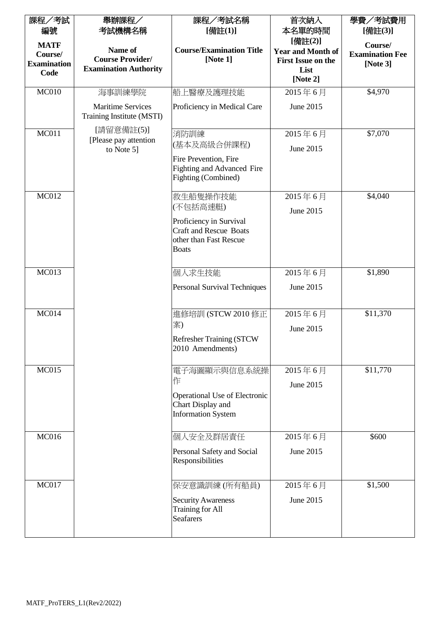| 課程/考試<br>編號                                  | 舉辦課程/<br>考試機構名稱                                                    | 課程/考試名稱<br>[備註(1)]                                                                                                         | 首次納入<br>本名單的時間                                                   | 學費/考試費用<br>[備註(3)]                               |
|----------------------------------------------|--------------------------------------------------------------------|----------------------------------------------------------------------------------------------------------------------------|------------------------------------------------------------------|--------------------------------------------------|
| <b>MATF</b><br>Course/<br><b>Examination</b> | Name of<br><b>Course Provider/</b><br><b>Examination Authority</b> | <b>Course/Examination Title</b><br>[Note 1]                                                                                | [備註(2)]<br><b>Year and Month of</b><br><b>First Issue on the</b> | Course/<br><b>Examination Fee</b><br>[Note $3$ ] |
| Code                                         |                                                                    |                                                                                                                            | List<br>[Note 2]                                                 |                                                  |
| MC <sub>010</sub>                            | 海事訓練學院                                                             | 船上醫療及護理技能                                                                                                                  | 2015年6月                                                          | \$4,970                                          |
|                                              | <b>Maritime Services</b><br>Training Institute (MSTI)              | Proficiency in Medical Care                                                                                                | June 2015                                                        |                                                  |
| <b>MC011</b>                                 | [請留意備註(5)]<br>[Please pay attention]<br>to Note 5]                 | 消防訓練<br>(基本及高級合併課程)<br>Fire Prevention, Fire<br><b>Fighting and Advanced Fire</b><br>Fighting (Combined)                   | 2015年6月<br>June 2015                                             | \$7,070                                          |
| <b>MC012</b>                                 |                                                                    | 救生船隻操作技能<br>(不包括高速艇)<br>Proficiency in Survival<br><b>Craft and Rescue Boats</b><br>other than Fast Rescue<br><b>Boats</b> | 2015年6月<br>June 2015                                             | \$4,040                                          |
| <b>MC013</b>                                 |                                                                    | 個人求生技能                                                                                                                     | 2015年6月                                                          | \$1,890                                          |
|                                              |                                                                    | Personal Survival Techniques                                                                                               | June 2015                                                        |                                                  |
| <b>MC014</b>                                 |                                                                    | 進修培訓 (STCW 2010 修正<br>案)<br><b>Refresher Training (STCW)</b><br>2010 Amendments)                                           | 2015年6月<br>June 2015                                             | \$11,370                                         |
| <b>MC015</b>                                 |                                                                    | 電子海圖顯示與信息系統操<br>作<br>Operational Use of Electronic<br>Chart Display and<br><b>Information System</b>                       | 2015年6月<br>June 2015                                             | \$11,770                                         |
| <b>MC016</b>                                 |                                                                    | 個人安全及群居責任                                                                                                                  | 2015年6月                                                          | \$600                                            |
|                                              |                                                                    | Personal Safety and Social<br>Responsibilities                                                                             | June 2015                                                        |                                                  |
| <b>MC017</b>                                 |                                                                    | 保安意識訓練 (所有船員)                                                                                                              | 2015年6月                                                          | \$1,500                                          |
|                                              |                                                                    | <b>Security Awareness</b><br><b>Training for All</b><br><b>Seafarers</b>                                                   | June 2015                                                        |                                                  |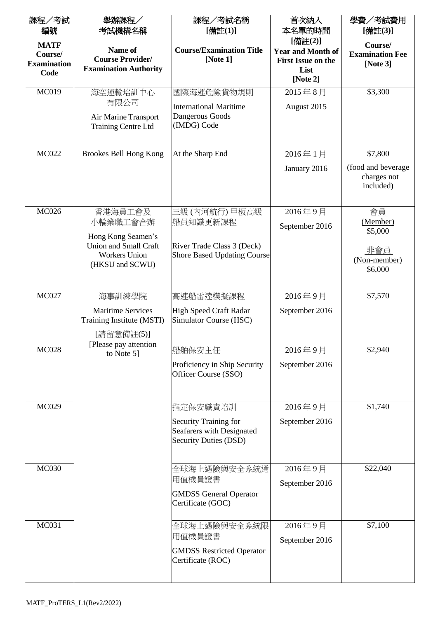| 課程/考試                                                | 舉辦課程/                                                              | 課程/考試名稱                                               | 首次納入                                                                      | 學費/考試費用                                        |
|------------------------------------------------------|--------------------------------------------------------------------|-------------------------------------------------------|---------------------------------------------------------------------------|------------------------------------------------|
| 編號                                                   | 考試機構名稱                                                             | [備註(1)]                                               | 本名單的時間<br>[備註(2)]                                                         | [備註(3)]                                        |
| <b>MATF</b><br>Course/<br><b>Examination</b><br>Code | Name of<br><b>Course Provider/</b><br><b>Examination Authority</b> | <b>Course/Examination Title</b><br>[Note $1$ ]        | <b>Year and Month of</b><br><b>First Issue on the</b><br>List<br>[Note 2] | Course/<br><b>Examination Fee</b><br>[Note 3]  |
| <b>MC019</b>                                         | 海空運輸培訓中心                                                           | 國際海運危險貨物規則                                            | 2015年8月                                                                   | \$3,300                                        |
|                                                      | 有限公司                                                               | <b>International Maritime</b>                         | August 2015                                                               |                                                |
|                                                      | Air Marine Transport<br>Training Centre Ltd                        | Dangerous Goods<br>(IMDG) Code                        |                                                                           |                                                |
| <b>MC022</b>                                         | Brookes Bell Hong Kong                                             | At the Sharp End                                      | 2016年1月                                                                   | \$7,800                                        |
|                                                      |                                                                    |                                                       | January 2016                                                              | (food and beverage<br>charges not<br>included) |
| <b>MC026</b>                                         | 香港海員工會及                                                            | 三級 (內河航行) 甲板高級                                        | 2016年9月                                                                   | 會員                                             |
|                                                      | 小輪業職工會合辦<br>Hong Kong Seamen's                                     | 船員知識更新課程                                              | September 2016                                                            | (Member)<br>\$5,000                            |
|                                                      | Union and Small Craft                                              | River Trade Class 3 (Deck)                            |                                                                           | <u>非會員</u>                                     |
|                                                      | <b>Workers Union</b><br>(HKSU and SCWU)                            | <b>Shore Based Updating Course</b>                    |                                                                           | (Non-member)<br>\$6,000                        |
| <b>MC027</b>                                         | 海事訓練學院                                                             | 高速船雷達模擬課程                                             | 2016年9月                                                                   | \$7,570                                        |
|                                                      | <b>Maritime Services</b><br>Training Institute (MSTI)              | High Speed Craft Radar<br>Simulator Course (HSC)      | September 2016                                                            |                                                |
|                                                      | [請留意備註(5)]                                                         |                                                       |                                                                           |                                                |
| <b>MC028</b>                                         | [Please pay attention<br>to Note 5]                                | 船舶保安主任                                                | 2016年9月                                                                   | \$2,940                                        |
|                                                      |                                                                    | Proficiency in Ship Security<br>Officer Course (SSO)  | September 2016                                                            |                                                |
| <b>MC029</b>                                         |                                                                    | 指定保安職責培訓                                              | 2016年9月                                                                   | \$1,740                                        |
|                                                      |                                                                    | Security Training for                                 | September 2016                                                            |                                                |
|                                                      |                                                                    | Seafarers with Designated<br>Security Duties (DSD)    |                                                                           |                                                |
| <b>MC030</b>                                         |                                                                    | 全球海上遇險與安全系統通                                          | 2016年9月                                                                   | \$22,040                                       |
|                                                      |                                                                    | 用值機員證書                                                | September 2016                                                            |                                                |
|                                                      |                                                                    | <b>GMDSS</b> General Operator<br>Certificate (GOC)    |                                                                           |                                                |
| <b>MC031</b>                                         |                                                                    | 全球海上遇險與安全系統限                                          | 2016年9月                                                                   | \$7,100                                        |
|                                                      |                                                                    | 用值機員證書                                                | September 2016                                                            |                                                |
|                                                      |                                                                    | <b>GMDSS Restricted Operator</b><br>Certificate (ROC) |                                                                           |                                                |
|                                                      |                                                                    |                                                       |                                                                           |                                                |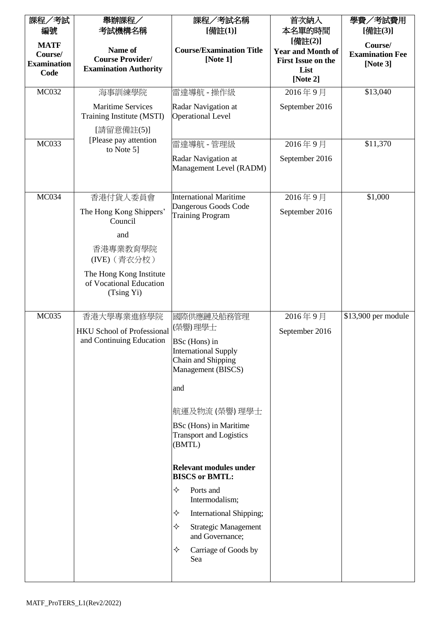| 課程/考試                                                | 舉辦課程/                                                               | 課程/考試名稱                                                                                                                                                                                  | 首次納入                                                                      | 學費/考試費用                                          |
|------------------------------------------------------|---------------------------------------------------------------------|------------------------------------------------------------------------------------------------------------------------------------------------------------------------------------------|---------------------------------------------------------------------------|--------------------------------------------------|
| 編號                                                   | 考試機構名稱                                                              | [備註(1)]                                                                                                                                                                                  | 本名單的時間<br>[備註(2)]                                                         | [備註(3)]                                          |
| <b>MATF</b><br>Course/<br><b>Examination</b><br>Code | Name of<br><b>Course Provider/</b><br><b>Examination Authority</b>  | <b>Course/Examination Title</b><br>[Note 1]                                                                                                                                              | <b>Year and Month of</b><br><b>First Issue on the</b><br>List<br>[Note 2] | Course/<br><b>Examination Fee</b><br>[Note $3$ ] |
| <b>MC032</b>                                         | 海事訓練學院                                                              | 雷達導航 - 操作級                                                                                                                                                                               | 2016年9月                                                                   | \$13,040                                         |
|                                                      | <b>Maritime Services</b><br>Training Institute (MSTI)<br>[請留意備註(5)] | Radar Navigation at<br><b>Operational Level</b>                                                                                                                                          | September 2016                                                            |                                                  |
| MC033                                                | [Please pay attention]<br>to Note 5]                                | 雷達導航 - 管理級                                                                                                                                                                               | 2016年9月                                                                   | \$11,370                                         |
|                                                      |                                                                     | Radar Navigation at<br>Management Level (RADM)                                                                                                                                           | September 2016                                                            |                                                  |
| <b>MC034</b>                                         | 香港付貨人委員會                                                            | <b>International Maritime</b>                                                                                                                                                            | 2016年9月                                                                   | \$1,000                                          |
|                                                      | The Hong Kong Shippers'<br>Council                                  | Dangerous Goods Code<br><b>Training Program</b>                                                                                                                                          | September 2016                                                            |                                                  |
|                                                      | and                                                                 |                                                                                                                                                                                          |                                                                           |                                                  |
|                                                      | 香港專業教育學院<br>(IVE) (青衣分校)                                            |                                                                                                                                                                                          |                                                                           |                                                  |
|                                                      | The Hong Kong Institute<br>of Vocational Education<br>(Tsing Yi)    |                                                                                                                                                                                          |                                                                           |                                                  |
| <b>MC035</b>                                         | 香港大學專業進修學院                                                          | 國際供應鏈及船務管理                                                                                                                                                                               | 2016年9月                                                                   | \$13,900 per module                              |
|                                                      | <b>HKU School of Professional</b><br>and Continuing Education       | (榮譽)理學士<br>BSc (Hons) in<br><b>International Supply</b><br>Chain and Shipping<br>Management (BISCS)<br>and<br>航運及物流 (榮譽) 理學士<br>BSc (Hons) in Maritime<br><b>Transport and Logistics</b> | September 2016                                                            |                                                  |
|                                                      |                                                                     | (BMTL)<br><b>Relevant modules under</b>                                                                                                                                                  |                                                                           |                                                  |
|                                                      |                                                                     | <b>BISCS or BMTL:</b>                                                                                                                                                                    |                                                                           |                                                  |
|                                                      |                                                                     | ✧<br>Ports and<br>Intermodalism;                                                                                                                                                         |                                                                           |                                                  |
|                                                      |                                                                     | ✧<br>International Shipping;                                                                                                                                                             |                                                                           |                                                  |
|                                                      |                                                                     | ✧<br><b>Strategic Management</b><br>and Governance;                                                                                                                                      |                                                                           |                                                  |
|                                                      |                                                                     | ✧<br>Carriage of Goods by<br>Sea                                                                                                                                                         |                                                                           |                                                  |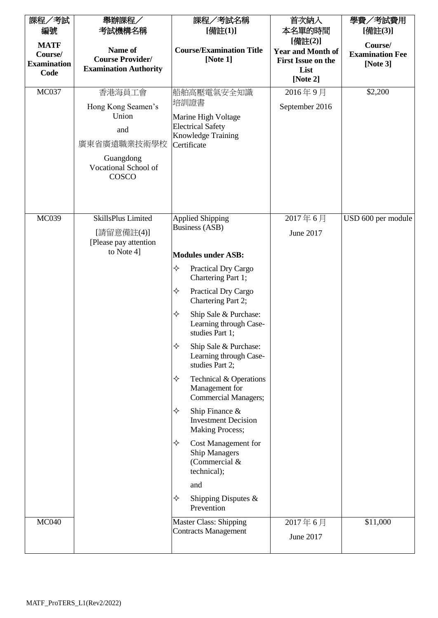| 課程/考試                                                      | 舉辦課程/                                                                                                     | 課程/考試名稱                                                                                                                                                                                                                                                                                                                                                                                                                                                                                                                                                                                  | 首次納入                                                                               | 學費/考試費用                                                  |
|------------------------------------------------------------|-----------------------------------------------------------------------------------------------------------|------------------------------------------------------------------------------------------------------------------------------------------------------------------------------------------------------------------------------------------------------------------------------------------------------------------------------------------------------------------------------------------------------------------------------------------------------------------------------------------------------------------------------------------------------------------------------------------|------------------------------------------------------------------------------------|----------------------------------------------------------|
| 編號<br><b>MATF</b><br>Course/<br><b>Examination</b><br>Code | 考試機構名稱<br>Name of<br><b>Course Provider/</b><br><b>Examination Authority</b>                              | [備註(1)]<br><b>Course/Examination Title</b><br>[Note 1]                                                                                                                                                                                                                                                                                                                                                                                                                                                                                                                                   | 本名單的時間<br>[備註(2)]<br><b>Year and Month of</b><br><b>First Issue on the</b><br>List | [備註(3)]<br>Course/<br><b>Examination Fee</b><br>[Note 3] |
|                                                            |                                                                                                           |                                                                                                                                                                                                                                                                                                                                                                                                                                                                                                                                                                                          | [Note 2]                                                                           |                                                          |
| <b>MC037</b>                                               | 香港海員工會<br>Hong Kong Seamen's<br>Union<br>and<br>廣東省廣遠職業技術學校<br>Guangdong<br>Vocational School of<br>COSCO | 船舶高壓電氣安全知識<br>培訓證書<br>Marine High Voltage<br><b>Electrical Safety</b><br>Knowledge Training<br>Certificate                                                                                                                                                                                                                                                                                                                                                                                                                                                                               | 2016年9月<br>September 2016                                                          | \$2,200                                                  |
| <b>MC039</b>                                               | SkillsPlus Limited<br>[請留意備註(4)]                                                                          | <b>Applied Shipping</b><br><b>Business (ASB)</b>                                                                                                                                                                                                                                                                                                                                                                                                                                                                                                                                         | 2017年6月<br>June 2017                                                               | USD 600 per module                                       |
|                                                            | [Please pay attention]<br>to Note 4]                                                                      | <b>Modules under ASB:</b><br>✧<br>Practical Dry Cargo<br>Chartering Part 1;<br>✧<br>Practical Dry Cargo<br>Chartering Part 2;<br>✧<br>Ship Sale & Purchase:<br>Learning through Case-<br>studies Part 1;<br>Ship Sale & Purchase:<br>Learning through Case-<br>studies Part 2;<br>✧<br>Technical & Operations<br>Management for<br><b>Commercial Managers;</b><br>✧<br>Ship Finance $\&$<br><b>Investment Decision</b><br><b>Making Process;</b><br>Cost Management for<br>✧<br><b>Ship Managers</b><br>(Commercial &<br>technical);<br>and<br>✧<br>Shipping Disputes $\&$<br>Prevention |                                                                                    |                                                          |
| <b>MC040</b>                                               |                                                                                                           | <b>Master Class: Shipping</b><br><b>Contracts Management</b>                                                                                                                                                                                                                                                                                                                                                                                                                                                                                                                             | 2017年6月<br>June 2017                                                               | \$11,000                                                 |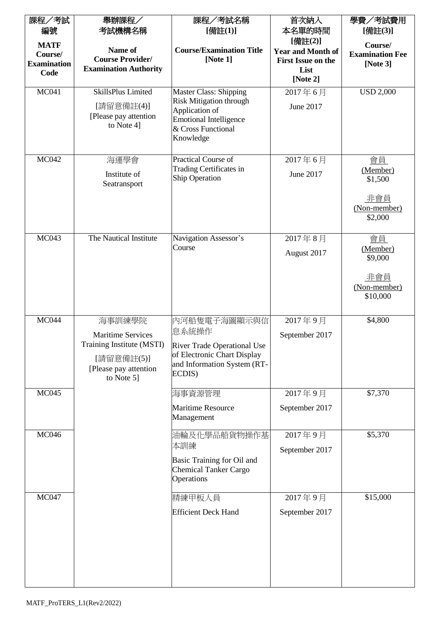| 課程/考試              | 舉辦課程/                        | 課程/考試名稱                                          | 首次納入                      | 學費/考試費用                |
|--------------------|------------------------------|--------------------------------------------------|---------------------------|------------------------|
| 編號                 | 考試機構名稱                       | [備註(1)]                                          | 本名單的時間                    | [備註(3)]                |
| <b>MATF</b>        |                              |                                                  | [備註(2)]                   | Course/                |
| Course/            | Name of                      | <b>Course/Examination Title</b>                  | <b>Year and Month of</b>  | <b>Examination Fee</b> |
| <b>Examination</b> | <b>Course Provider/</b>      | [Note 1]                                         | <b>First Issue on the</b> | [Note $3$ ]            |
| Code               | <b>Examination Authority</b> |                                                  | List                      |                        |
|                    |                              |                                                  | [Note 2]                  |                        |
| <b>MC041</b>       | SkillsPlus Limited           | <b>Master Class: Shipping</b>                    | 2017年6月                   | <b>USD 2,000</b>       |
|                    | [請留意備註(4)]                   | <b>Risk Mitigation through</b><br>Application of | June 2017                 |                        |
|                    | [Please pay attention        | <b>Emotional Intelligence</b>                    |                           |                        |
|                    | to Note 4]                   | & Cross Functional                               |                           |                        |
|                    |                              | Knowledge                                        |                           |                        |
|                    |                              |                                                  |                           |                        |
| <b>MC042</b>       | 海運學會                         | Practical Course of                              | 2017年6月                   | 會員                     |
|                    | Institute of                 | Trading Certificates in<br><b>Ship Operation</b> | June 2017                 | (Member)<br>\$1,500    |
|                    | Seatransport                 |                                                  |                           |                        |
|                    |                              |                                                  |                           | <u>非會員</u>             |
|                    |                              |                                                  |                           | (Non-member)           |
|                    |                              |                                                  |                           | \$2,000                |
|                    |                              |                                                  |                           |                        |
| MC043              | The Nautical Institute       | Navigation Assessor's<br>Course                  | 2017年8月                   | 會員                     |
|                    |                              |                                                  | August 2017               | (Member)<br>\$9,000    |
|                    |                              |                                                  |                           |                        |
|                    |                              |                                                  |                           | <u>非會員</u>             |
|                    |                              |                                                  |                           | (Non-member)           |
|                    |                              |                                                  |                           | \$10,000               |
|                    |                              |                                                  |                           |                        |
| <b>MC044</b>       | 海事訓練學院                       | 內河船隻電子海圖顯示與信                                     | 2017年9月                   | \$4,800                |
|                    | <b>Maritime Services</b>     | 息系統操作                                            | September 2017            |                        |
|                    | Training Institute (MSTI)    | River Trade Operational Use                      |                           |                        |
|                    | [請留意備註(5)]                   | of Electronic Chart Display                      |                           |                        |
|                    | [Please pay attention]       | and Information System (RT-<br>ECDIS)            |                           |                        |
|                    | to Note 5]                   |                                                  |                           |                        |
| <b>MC045</b>       |                              | 海事資源管理                                           | 2017年9月                   | \$7,370                |
|                    |                              | <b>Maritime Resource</b>                         | September 2017            |                        |
|                    |                              | Management                                       |                           |                        |
| <b>MC046</b>       |                              |                                                  |                           | \$5,370                |
|                    |                              | 油輪及化學品船貨物操作基<br>本訓練                              | 2017年9月                   |                        |
|                    |                              |                                                  | September 2017            |                        |
|                    |                              | Basic Training for Oil and                       |                           |                        |
|                    |                              | <b>Chemical Tanker Cargo</b><br>Operations       |                           |                        |
|                    |                              |                                                  |                           |                        |
| <b>MC047</b>       |                              | 精練甲板人員                                           | 2017年9月                   | \$15,000               |
|                    |                              | <b>Efficient Deck Hand</b>                       | September 2017            |                        |
|                    |                              |                                                  |                           |                        |
|                    |                              |                                                  |                           |                        |
|                    |                              |                                                  |                           |                        |
|                    |                              |                                                  |                           |                        |
|                    |                              |                                                  |                           |                        |
|                    |                              |                                                  |                           |                        |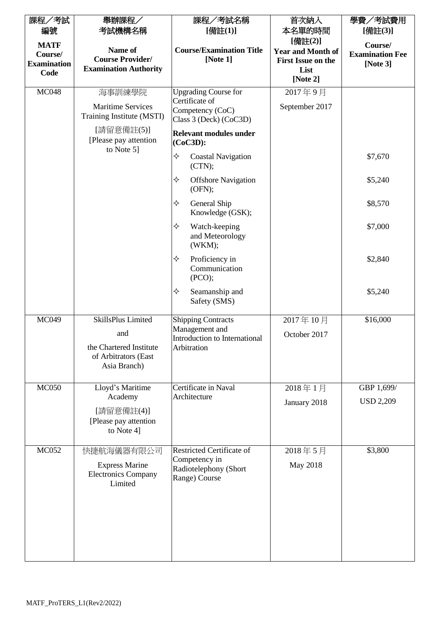| 舉辦課程/<br>考試機構名稱                                                                              | 課程/考試名稱<br>[備註(1)]                                                                                 | 首次納入<br>本名單的時間                                                | 學費/考試費用<br>[備註(3)]                               |
|----------------------------------------------------------------------------------------------|----------------------------------------------------------------------------------------------------|---------------------------------------------------------------|--------------------------------------------------|
| Name of<br><b>Course Provider/</b><br><b>Examination Authority</b>                           | <b>Course/Examination Title</b><br>[Note 1]                                                        | <b>Year and Month of</b><br><b>First Issue on the</b><br>List | Course/<br><b>Examination Fee</b><br>[Note $3$ ] |
|                                                                                              |                                                                                                    | [Note 2]                                                      |                                                  |
| 海事訓練學院<br><b>Maritime Services</b><br>Training Institute (MSTI)                              | <b>Upgrading Course for</b><br>Certificate of<br>Competency (CoC)<br>Class 3 (Deck) (CoC3D)        | 2017年9月<br>September 2017                                     |                                                  |
| [Please pay attention]                                                                       | <b>Relevant modules under</b><br>$(CoC3D)$ :                                                       |                                                               |                                                  |
|                                                                                              | ✧<br><b>Coastal Navigation</b><br>(CTN);                                                           |                                                               | \$7,670                                          |
|                                                                                              | ✧<br><b>Offshore Navigation</b><br>(OFN);                                                          |                                                               | \$5,240                                          |
|                                                                                              | ✧<br>General Ship<br>Knowledge (GSK);                                                              |                                                               | \$8,570                                          |
|                                                                                              | ✧<br>Watch-keeping<br>and Meteorology<br>(WKM);                                                    |                                                               | \$7,000                                          |
|                                                                                              | Proficiency in<br>✧<br>Communication<br>(PCO);                                                     |                                                               | \$2,840                                          |
|                                                                                              | ✧<br>Seamanship and<br>Safety (SMS)                                                                |                                                               | \$5,240                                          |
| SkillsPlus Limited<br>and<br>the Chartered Institute<br>of Arbitrators (East<br>Asia Branch) | <b>Shipping Contracts</b><br>Management and<br><b>Introduction to International</b><br>Arbitration | 2017年10月<br>October 2017                                      | \$16,000                                         |
| Lloyd's Maritime                                                                             | Certificate in Naval                                                                               | 2018年1月                                                       | GBP 1,699/                                       |
| Academy<br>[請留意備註(4)]<br>[Please pay attention<br>to Note 4]                                 |                                                                                                    | January 2018                                                  | <b>USD 2,209</b>                                 |
| 快捷航海儀器有限公司<br><b>Express Marine</b><br><b>Electronics Company</b><br>Limited                 | <b>Restricted Certificate of</b><br>Competency in<br>Radiotelephony (Short<br>Range) Course        | 2018年5月<br>May 2018                                           | \$3,800                                          |
|                                                                                              | [請留意備註(5)]<br>to Note 5]                                                                           | Architecture                                                  | [備註(2)]                                          |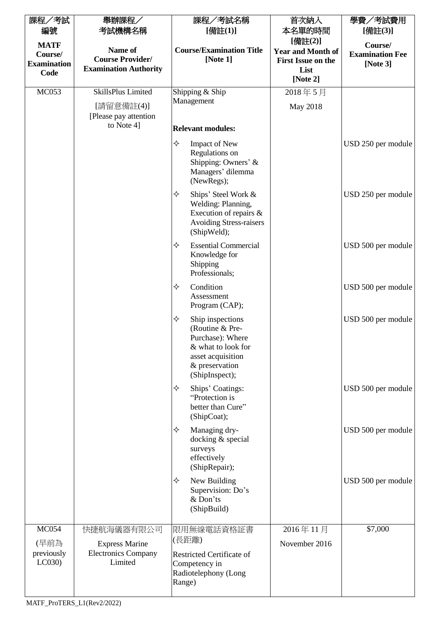| 課程/考試                                                | 舉辦課程/                                                              | 課程/考試名稱                                                                                                                                     | 首次納入                                                                                 | 學費/考試費用                                          |
|------------------------------------------------------|--------------------------------------------------------------------|---------------------------------------------------------------------------------------------------------------------------------------------|--------------------------------------------------------------------------------------|--------------------------------------------------|
| 編號                                                   | 考試機構名稱                                                             | [備註(1)]                                                                                                                                     | 本名單的時間                                                                               | [備註(3)]                                          |
| <b>MATF</b><br>Course/<br><b>Examination</b><br>Code | Name of<br><b>Course Provider/</b><br><b>Examination Authority</b> | <b>Course/Examination Title</b><br>[Note $1$ ]                                                                                              | [備註(2)]<br><b>Year and Month of</b><br><b>First Issue on the</b><br>List<br>[Note 2] | Course/<br><b>Examination Fee</b><br>[Note $3$ ] |
| MC053                                                | SkillsPlus Limited                                                 | Shipping & Ship                                                                                                                             | 2018年5月                                                                              |                                                  |
|                                                      | [請留意備註(4)]<br>[Please pay attention]                               | Management                                                                                                                                  | May 2018                                                                             |                                                  |
|                                                      | to Note 4]                                                         | <b>Relevant modules:</b>                                                                                                                    |                                                                                      |                                                  |
|                                                      |                                                                    | ♦<br><b>Impact of New</b><br>Regulations on<br>Shipping: Owners' &<br>Managers' dilemma<br>(NewRegs);                                       |                                                                                      | USD 250 per module                               |
|                                                      |                                                                    | ♦<br>Ships' Steel Work &<br>Welding: Planning,<br>Execution of repairs &<br><b>Avoiding Stress-raisers</b><br>(ShipWeld);                   |                                                                                      | USD 250 per module                               |
|                                                      |                                                                    | ✧<br><b>Essential Commercial</b><br>Knowledge for<br>Shipping<br>Professionals;                                                             |                                                                                      | USD 500 per module                               |
|                                                      |                                                                    | ✧<br>Condition<br>Assessment<br>Program (CAP);                                                                                              |                                                                                      | USD 500 per module                               |
|                                                      |                                                                    | ✧<br>Ship inspections<br>(Routine & Pre-<br>Purchase): Where<br>& what to look for<br>asset acquisition<br>& preservation<br>(ShipInspect); |                                                                                      | USD 500 per module                               |
|                                                      |                                                                    | ✧<br>Ships' Coatings:<br>"Protection is<br>better than Cure"<br>(ShipCoat);                                                                 |                                                                                      | USD 500 per module                               |
|                                                      |                                                                    | ✧<br>Managing dry-<br>docking & special<br>surveys<br>effectively<br>(ShipRepair);                                                          |                                                                                      | USD 500 per module                               |
|                                                      |                                                                    | ✧<br>New Building<br>Supervision: Do's<br>& Don'ts<br>(ShipBuild)                                                                           |                                                                                      | USD 500 per module                               |
| <b>MC054</b>                                         | 快捷航海儀器有限公司                                                         | 限用無線電話資格証書                                                                                                                                  | 2016年11月                                                                             | \$7,000                                          |
| (早前為<br>previously<br>LC030                          | <b>Express Marine</b><br><b>Electronics Company</b><br>Limited     | (長距離)<br><b>Restricted Certificate of</b><br>Competency in<br>Radiotelephony (Long<br>Range)                                                | November 2016                                                                        |                                                  |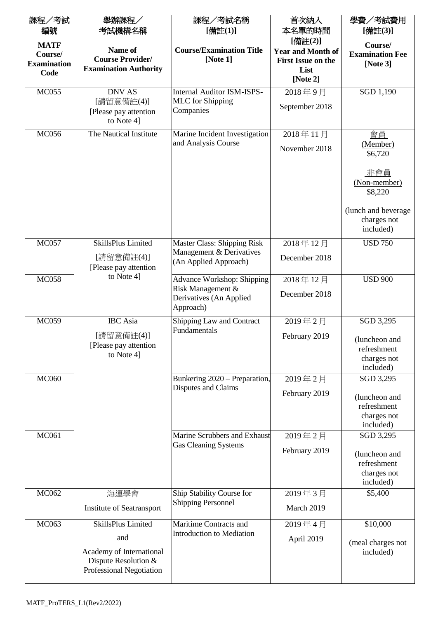| 課程/考試              | 舉辦課程/                                            | 課程/考試名稱                                                | 首次納入                     | 學費/考試費用                      |
|--------------------|--------------------------------------------------|--------------------------------------------------------|--------------------------|------------------------------|
| 編號                 | 考試機構名稱                                           | [備註(1)]                                                | 本名單的時間                   | [備註(3)]                      |
| <b>MATF</b>        |                                                  |                                                        | [備註(2)]                  | Course/                      |
| Course/            | Name of                                          | <b>Course/Examination Title</b>                        | <b>Year and Month of</b> | <b>Examination Fee</b>       |
| <b>Examination</b> | <b>Course Provider/</b>                          | [Note 1]                                               | First Issue on the       | [Note $3$ ]                  |
| Code               | <b>Examination Authority</b>                     |                                                        | List                     |                              |
|                    |                                                  |                                                        | [Note $2$ ]              |                              |
| <b>MC055</b>       | <b>DNV AS</b>                                    | <b>Internal Auditor ISM-ISPS-</b>                      | 2018年9月                  | SGD 1,190                    |
|                    | [請留意備註(4)]                                       | <b>MLC</b> for Shipping                                | September 2018           |                              |
|                    | [Please pay attention]                           | Companies                                              |                          |                              |
|                    | to Note 4]                                       |                                                        |                          |                              |
| <b>MC056</b>       | The Nautical Institute                           | Marine Incident Investigation                          | 2018年11月                 | 會員                           |
|                    |                                                  | and Analysis Course                                    | November 2018            | (Member)                     |
|                    |                                                  |                                                        |                          | \$6,720                      |
|                    |                                                  |                                                        |                          |                              |
|                    |                                                  |                                                        |                          | 非會員<br>(Non-member)          |
|                    |                                                  |                                                        |                          | \$8,220                      |
|                    |                                                  |                                                        |                          |                              |
|                    |                                                  |                                                        |                          | (lunch and beverage          |
|                    |                                                  |                                                        |                          | charges not                  |
|                    |                                                  |                                                        |                          | included)                    |
| <b>MC057</b>       | SkillsPlus Limited                               | <b>Master Class: Shipping Risk</b>                     | 2018年12月                 | <b>USD 750</b>               |
|                    | [請留意備註(4)]                                       | Management & Derivatives                               | December 2018            |                              |
|                    | [Please pay attention                            | (An Applied Approach)                                  |                          |                              |
| <b>MC058</b>       | to Note 4]                                       | Advance Workshop: Shipping                             | 2018年12月                 | <b>USD 900</b>               |
|                    |                                                  | Risk Management &                                      |                          |                              |
|                    |                                                  | Derivatives (An Applied                                | December 2018            |                              |
|                    |                                                  | Approach)                                              |                          |                              |
| <b>MC059</b>       | <b>IBC</b> Asia                                  | Shipping Law and Contract                              | 2019年2月                  | SGD 3,295                    |
|                    | [請留意備註(4)]                                       | Fundamentals                                           | February 2019            |                              |
|                    | [Please pay attention                            |                                                        |                          | (luncheon and<br>refreshment |
|                    | to Note 4]                                       |                                                        |                          | charges not                  |
|                    |                                                  |                                                        |                          | included)                    |
| <b>MC060</b>       |                                                  | Bunkering 2020 – Preparation,                          | 2019年2月                  | SGD 3,295                    |
|                    |                                                  | Disputes and Claims                                    |                          |                              |
|                    |                                                  |                                                        | February 2019            | (luncheon and                |
|                    |                                                  |                                                        |                          | refreshment                  |
|                    |                                                  |                                                        |                          | charges not<br>included)     |
| <b>MC061</b>       |                                                  | Marine Scrubbers and Exhaust                           | 2019年2月                  | SGD 3,295                    |
|                    |                                                  | <b>Gas Cleaning Systems</b>                            |                          |                              |
|                    |                                                  |                                                        | February 2019            | (luncheon and                |
|                    |                                                  |                                                        |                          | refreshment                  |
|                    |                                                  |                                                        |                          | charges not                  |
|                    |                                                  |                                                        |                          | included)                    |
| MC062              | 海運學會                                             | Ship Stability Course for<br><b>Shipping Personnel</b> | 2019年3月                  | \$5,400                      |
|                    | <b>Institute of Seatransport</b>                 |                                                        | March 2019               |                              |
| MC063              | SkillsPlus Limited                               | Maritime Contracts and                                 | 2019年4月                  | \$10,000                     |
|                    | and                                              | <b>Introduction to Mediation</b>                       |                          |                              |
|                    |                                                  |                                                        | April 2019               | (meal charges not            |
|                    | Academy of International                         |                                                        |                          | included)                    |
|                    | Dispute Resolution &<br>Professional Negotiation |                                                        |                          |                              |
|                    |                                                  |                                                        |                          |                              |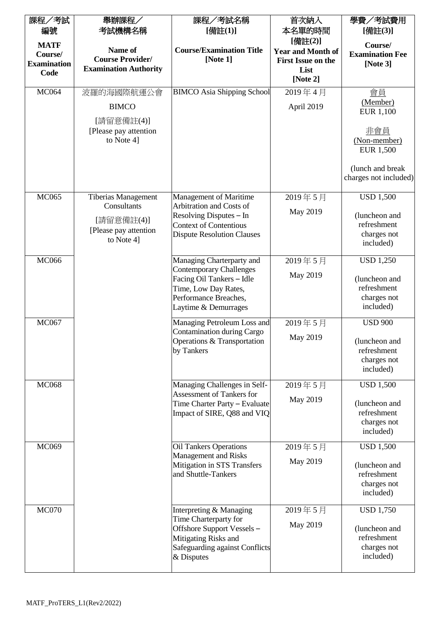| 課程/考試              | 舉辦課程/                                     | 課程/考試名稱                                                          | 首次納入                     | 學費/考試費用                          |
|--------------------|-------------------------------------------|------------------------------------------------------------------|--------------------------|----------------------------------|
| 編號                 | 考試機構名稱                                    | [備註(1)]                                                          | 本名單的時間                   | [備註(3)]                          |
| <b>MATF</b>        |                                           |                                                                  | [備註(2)]                  | Course/                          |
| Course/            | Name of                                   | <b>Course/Examination Title</b>                                  | <b>Year and Month of</b> | <b>Examination Fee</b>           |
| <b>Examination</b> | <b>Course Provider/</b>                   | [Note 1]                                                         | First Issue on the       | [Note $3$ ]                      |
| Code               | <b>Examination Authority</b>              |                                                                  | List                     |                                  |
|                    |                                           |                                                                  | [Note 2]                 |                                  |
| <b>MC064</b>       | 波羅的海國際航運公會                                | <b>BIMCO</b> Asia Shipping School                                | 2019年4月                  | 會員                               |
|                    | <b>BIMCO</b>                              |                                                                  | April 2019               | (Member)<br><b>EUR 1,100</b>     |
|                    | [請留意備註(4)]<br>[Please pay attention]      |                                                                  |                          | 非會員                              |
|                    | to Note 4]                                |                                                                  |                          | (Non-member)<br><b>EUR 1,500</b> |
|                    |                                           |                                                                  |                          | (lunch and break                 |
|                    |                                           |                                                                  |                          | charges not included)            |
| <b>MC065</b>       | <b>Tiberias Management</b><br>Consultants | <b>Management of Maritime</b><br>Arbitration and Costs of        | 2019年5月                  | <b>USD 1,500</b>                 |
|                    |                                           | Resolving Disputes - In                                          | May 2019                 | (luncheon and                    |
|                    | [請留意備註(4)]<br>[Please pay attention       | <b>Context of Contentious</b>                                    |                          | refreshment                      |
|                    | to Note 4]                                | <b>Dispute Resolution Clauses</b>                                |                          | charges not                      |
|                    |                                           |                                                                  |                          | included)                        |
| <b>MC066</b>       |                                           | Managing Charterparty and<br><b>Contemporary Challenges</b>      | 2019年5月                  | <b>USD 1,250</b>                 |
|                    |                                           | Facing Oil Tankers - Idle                                        | May 2019                 | (luncheon and                    |
|                    |                                           | Time, Low Day Rates,                                             |                          | refreshment                      |
|                    |                                           | Performance Breaches,                                            |                          | charges not                      |
|                    |                                           | Laytime & Demurrages                                             |                          | included)                        |
| <b>MC067</b>       |                                           | Managing Petroleum Loss and                                      | 2019年5月                  | <b>USD 900</b>                   |
|                    |                                           | <b>Contamination during Cargo</b>                                | May 2019                 |                                  |
|                    |                                           | Operations & Transportation                                      |                          | (luncheon and                    |
|                    |                                           | by Tankers                                                       |                          | refreshment<br>charges not       |
|                    |                                           |                                                                  |                          | included)                        |
|                    |                                           |                                                                  |                          |                                  |
| <b>MC068</b>       |                                           | Managing Challenges in Self-<br><b>Assessment of Tankers for</b> | 2019年5月                  | <b>USD 1,500</b>                 |
|                    |                                           | Time Charter Party - Evaluate                                    | May 2019                 | (luncheon and                    |
|                    |                                           | Impact of SIRE, Q88 and VIQ                                      |                          | refreshment                      |
|                    |                                           |                                                                  |                          | charges not                      |
|                    |                                           |                                                                  |                          | included)                        |
| MC069              |                                           | <b>Oil Tankers Operations</b><br><b>Management and Risks</b>     | 2019年5月                  | <b>USD 1,500</b>                 |
|                    |                                           | Mitigation in STS Transfers                                      | May 2019                 | (luncheon and                    |
|                    |                                           | and Shuttle-Tankers                                              |                          | refreshment                      |
|                    |                                           |                                                                  |                          | charges not                      |
|                    |                                           |                                                                  |                          | included)                        |
| <b>MC070</b>       |                                           | Interpreting & Managing                                          | 2019年5月                  | <b>USD 1,750</b>                 |
|                    |                                           | Time Charterparty for                                            |                          |                                  |
|                    |                                           | Offshore Support Vessels-                                        | May 2019                 | (luncheon and                    |
|                    |                                           | Mitigating Risks and                                             |                          | refreshment                      |
|                    |                                           | Safeguarding against Conflicts                                   |                          | charges not<br>included)         |
|                    |                                           | & Disputes                                                       |                          |                                  |
|                    |                                           |                                                                  |                          |                                  |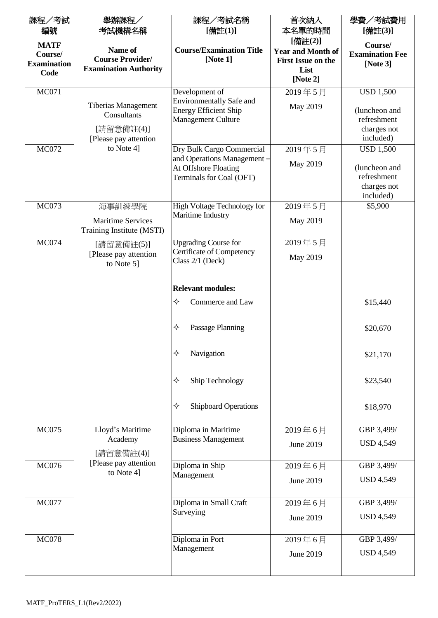| 課程/考試              | 舉辦課程/                                | 課程/考試名稱                                           | 首次納入                     | 學費/考試費用                  |
|--------------------|--------------------------------------|---------------------------------------------------|--------------------------|--------------------------|
| 編號                 | 考試機構名稱                               | [備註(1)]                                           | 本名單的時間                   | [備註(3)]                  |
| <b>MATF</b>        |                                      |                                                   | [備註(2)]                  | Course/                  |
| Course/            | Name of                              | <b>Course/Examination Title</b>                   | <b>Year and Month of</b> | <b>Examination Fee</b>   |
| <b>Examination</b> | <b>Course Provider/</b>              | [Note 1]                                          | First Issue on the       | [Note $3$ ]              |
| Code               | <b>Examination Authority</b>         |                                                   | List                     |                          |
|                    |                                      |                                                   | [Note 2]                 |                          |
| <b>MC071</b>       |                                      | Development of                                    | 2019年5月                  | <b>USD 1,500</b>         |
|                    | <b>Tiberias Management</b>           | <b>Environmentally Safe and</b>                   | May 2019                 |                          |
|                    | Consultants                          | <b>Energy Efficient Ship</b>                      |                          | (luncheon and            |
|                    |                                      | <b>Management Culture</b>                         |                          | refreshment              |
|                    | [請留意備註(4)]                           |                                                   |                          | charges not<br>included) |
| <b>MC072</b>       | [Please pay attention]<br>to Note 4] | Dry Bulk Cargo Commercial                         | 2019年5月                  | <b>USD 1,500</b>         |
|                    |                                      | and Operations Management -                       |                          |                          |
|                    |                                      | At Offshore Floating                              | May 2019                 | (luncheon and            |
|                    |                                      | Terminals for Coal (OFT)                          |                          | refreshment              |
|                    |                                      |                                                   |                          | charges not              |
|                    |                                      |                                                   |                          | included)                |
| <b>MC073</b>       | 海事訓練學院                               | High Voltage Technology for                       | 2019年5月                  | \$5,900                  |
|                    | <b>Maritime Services</b>             | Maritime Industry                                 | May 2019                 |                          |
|                    | Training Institute (MSTI)            |                                                   |                          |                          |
| <b>MC074</b>       | [請留意備註(5)]                           | <b>Upgrading Course for</b>                       | 2019年5月                  |                          |
|                    | [Please pay attention]               | Certificate of Competency                         | May 2019                 |                          |
|                    | to Note 5]                           | Class 2/1 (Deck)                                  |                          |                          |
|                    |                                      |                                                   |                          |                          |
|                    |                                      | <b>Relevant modules:</b>                          |                          |                          |
|                    |                                      | ✧<br>Commerce and Law                             |                          | \$15,440                 |
|                    |                                      |                                                   |                          |                          |
|                    |                                      |                                                   |                          |                          |
|                    |                                      | ✧<br>Passage Planning                             |                          | \$20,670                 |
|                    |                                      |                                                   |                          |                          |
|                    |                                      | ✧<br>Navigation                                   |                          | \$21,170                 |
|                    |                                      |                                                   |                          |                          |
|                    |                                      | Ship Technology<br>✧                              |                          | \$23,540                 |
|                    |                                      |                                                   |                          |                          |
|                    |                                      |                                                   |                          |                          |
|                    |                                      | Shipboard Operations<br>✧                         |                          | \$18,970                 |
|                    |                                      |                                                   |                          |                          |
| <b>MC075</b>       | Lloyd's Maritime<br>Academy          | Diploma in Maritime<br><b>Business Management</b> | 2019年6月                  | GBP 3,499/               |
|                    |                                      |                                                   | June 2019                | <b>USD 4,549</b>         |
|                    | [請留意備註(4)]<br>[Please pay attention  |                                                   |                          |                          |
| <b>MC076</b>       | to Note 4]                           | Diploma in Ship<br>Management                     | 2019年6月                  | GBP 3,499/               |
|                    |                                      |                                                   | June 2019                | <b>USD 4,549</b>         |
|                    |                                      |                                                   |                          |                          |
| <b>MC077</b>       |                                      | Diploma in Small Craft                            | 2019年6月                  | GBP 3,499/               |
|                    |                                      | Surveying                                         | June 2019                | <b>USD 4,549</b>         |
|                    |                                      |                                                   |                          |                          |
| <b>MC078</b>       |                                      | Diploma in Port                                   | 2019年6月                  | GBP 3,499/               |
|                    |                                      | Management                                        | June 2019                | <b>USD 4,549</b>         |
|                    |                                      |                                                   |                          |                          |
|                    |                                      |                                                   |                          |                          |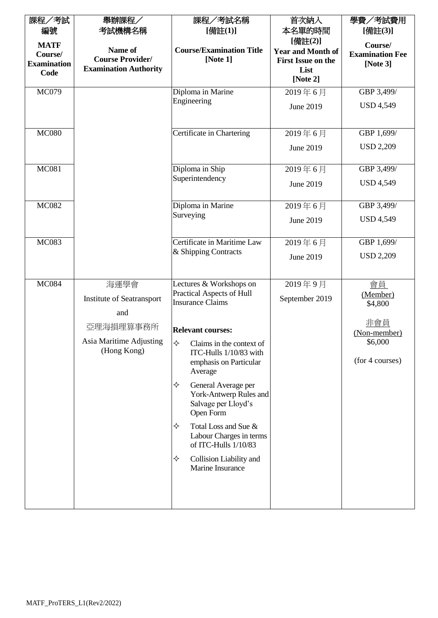| 課程/考試              | 舉辦課程/                        | 課程/考試名稱                                                       | 首次納入                      | 學費/考試費用                 |
|--------------------|------------------------------|---------------------------------------------------------------|---------------------------|-------------------------|
| 編號                 | 考試機構名稱                       | [備註(1)]                                                       | 本名單的時間                    | [備註(3)]                 |
| <b>MATF</b>        |                              |                                                               | [備註(2)]                   | Course/                 |
| Course/            | Name of                      | <b>Course/Examination Title</b>                               | <b>Year and Month of</b>  | <b>Examination Fee</b>  |
| <b>Examination</b> | <b>Course Provider/</b>      | [Note $1$ ]                                                   | <b>First Issue on the</b> | [Note 3]                |
| Code               | <b>Examination Authority</b> |                                                               | List                      |                         |
|                    |                              |                                                               | [Note 2]                  |                         |
| <b>MC079</b>       |                              | Diploma in Marine<br>Engineering                              | 2019年6月                   | GBP 3,499/              |
|                    |                              |                                                               | June 2019                 | <b>USD 4,549</b>        |
|                    |                              |                                                               |                           |                         |
| <b>MC080</b>       |                              | Certificate in Chartering                                     | 2019年6月                   | GBP 1,699/              |
|                    |                              |                                                               |                           | <b>USD 2,209</b>        |
|                    |                              |                                                               | June 2019                 |                         |
| <b>MC081</b>       |                              | Diploma in Ship                                               | 2019年6月                   | GBP 3,499/              |
|                    |                              | Superintendency                                               |                           |                         |
|                    |                              |                                                               | June 2019                 | <b>USD 4,549</b>        |
|                    |                              |                                                               |                           |                         |
| <b>MC082</b>       |                              | Diploma in Marine<br>Surveying                                | 2019年6月                   | GBP 3,499/              |
|                    |                              |                                                               | June 2019                 | <b>USD 4,549</b>        |
|                    |                              |                                                               |                           |                         |
| <b>MC083</b>       |                              | Certificate in Maritime Law                                   | 2019年6月                   | GBP 1,699/              |
|                    |                              | & Shipping Contracts                                          | June 2019                 | <b>USD 2,209</b>        |
|                    |                              |                                                               |                           |                         |
| <b>MC084</b>       | 海運學會                         | Lectures & Workshops on                                       | 2019年9月                   | 會員                      |
|                    |                              | Practical Aspects of Hull                                     |                           | (Member)                |
|                    | Institute of Seatransport    | <b>Insurance Claims</b>                                       | September 2019            | \$4,800                 |
|                    | and                          |                                                               |                           |                         |
|                    | 亞理海損理算事務所                    | <b>Relevant courses:</b>                                      |                           | 非會員                     |
|                    | Asia Maritime Adjusting      |                                                               |                           | (Non-member)<br>\$6,000 |
|                    | (Hong Kong)                  | $\diamond$ Claims in the context of<br>ITC-Hulls 1/10/83 with |                           |                         |
|                    |                              | emphasis on Particular                                        |                           | (for 4 courses)         |
|                    |                              | Average                                                       |                           |                         |
|                    |                              | ✧<br>General Average per                                      |                           |                         |
|                    |                              | York-Antwerp Rules and                                        |                           |                         |
|                    |                              | Salvage per Lloyd's                                           |                           |                         |
|                    |                              | Open Form                                                     |                           |                         |
|                    |                              | Total Loss and Sue &<br>✧                                     |                           |                         |
|                    |                              | Labour Charges in terms<br>of ITC-Hulls 1/10/83               |                           |                         |
|                    |                              |                                                               |                           |                         |
|                    |                              | ✧<br>Collision Liability and<br>Marine Insurance              |                           |                         |
|                    |                              |                                                               |                           |                         |
|                    |                              |                                                               |                           |                         |
|                    |                              |                                                               |                           |                         |
|                    |                              |                                                               |                           |                         |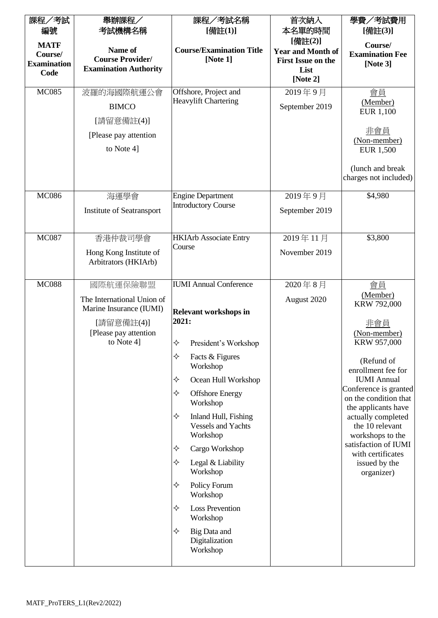| 課程/考試              | 舉辦課程/                                          | 課程/考試名稱                                                            | 首次納入                      | 學費/考試費用                                      |
|--------------------|------------------------------------------------|--------------------------------------------------------------------|---------------------------|----------------------------------------------|
| 編號                 | 考試機構名稱                                         | [備註(1)]                                                            | 本名單的時間                    | [備註(3)]                                      |
| <b>MATF</b>        |                                                |                                                                    | [備註(2)]                   | Course/                                      |
| Course/            | Name of                                        | <b>Course/Examination Title</b>                                    | <b>Year and Month of</b>  | <b>Examination Fee</b>                       |
| <b>Examination</b> | <b>Course Provider/</b>                        | [Note 1]                                                           | <b>First Issue on the</b> | [Note $3$ ]                                  |
| Code               | <b>Examination Authority</b>                   |                                                                    | List<br>[Note 2]          |                                              |
|                    |                                                |                                                                    |                           |                                              |
| <b>MC085</b>       | 波羅的海國際航運公會                                     | Offshore, Project and<br><b>Heavylift Chartering</b>               | 2019年9月                   | 會員<br>(Member)                               |
|                    | <b>BIMCO</b>                                   |                                                                    | September 2019            | EUR 1,100                                    |
|                    | [請留意備註(4)]                                     |                                                                    |                           | 非會員                                          |
|                    | [Please pay attention]                         |                                                                    |                           | (Non-member)                                 |
|                    | to Note 4]                                     |                                                                    |                           | <b>EUR 1,500</b>                             |
|                    |                                                |                                                                    |                           | (lunch and break                             |
|                    |                                                |                                                                    |                           | charges not included)                        |
| <b>MC086</b>       | 海運學會                                           | <b>Engine Department</b>                                           | 2019年9月                   | \$4,980                                      |
|                    |                                                | <b>Introductory Course</b>                                         |                           |                                              |
|                    | Institute of Seatransport                      |                                                                    | September 2019            |                                              |
| <b>MC087</b>       | 香港仲裁司學會                                        | <b>HKIArb Associate Entry</b>                                      | 2019年11月                  | \$3,800                                      |
|                    |                                                | Course                                                             | November 2019             |                                              |
|                    | Hong Kong Institute of<br>Arbitrators (HKIArb) |                                                                    |                           |                                              |
|                    |                                                |                                                                    |                           |                                              |
| <b>MC088</b>       | 國際航運保險聯盟                                       | <b>IUMI</b> Annual Conference                                      | 2020年8月                   | 會員                                           |
|                    | The International Union of                     |                                                                    | August 2020               | (Member)                                     |
|                    | Marine Insurance (IUMI)                        | <b>Relevant workshops in</b>                                       |                           | KRW 792,000                                  |
|                    | [請留意備註(4)]                                     | 2021:                                                              |                           | 非會員                                          |
|                    | [Please pay attention]                         |                                                                    |                           | (Non-member)                                 |
|                    | to Note 4]                                     | ✧<br>President's Workshop                                          |                           | KRW 957,000                                  |
|                    |                                                | ✧<br>Facts & Figures<br>Workshop                                   |                           | (Refund of<br>enrollment fee for             |
|                    |                                                | ✧<br>Ocean Hull Workshop                                           |                           | <b>IUMI</b> Annual                           |
|                    |                                                | ✧<br><b>Offshore Energy</b>                                        |                           | Conference is granted                        |
|                    |                                                | Workshop                                                           |                           | on the condition that<br>the applicants have |
|                    |                                                | ✧<br>Inland Hull, Fishing<br><b>Vessels and Yachts</b><br>Workshop |                           | actually completed<br>the 10 relevant        |
|                    |                                                | ✧<br>Cargo Workshop                                                |                           | workshops to the<br>satisfaction of IUMI     |
|                    |                                                | ✧<br>Legal & Liability                                             |                           | with certificates<br>issued by the           |
|                    |                                                | Workshop                                                           |                           | organizer)                                   |
|                    |                                                | ✧<br>Policy Forum<br>Workshop                                      |                           |                                              |
|                    |                                                | ✧<br><b>Loss Prevention</b><br>Workshop                            |                           |                                              |
|                    |                                                | ✧<br>Big Data and<br>Digitalization<br>Workshop                    |                           |                                              |
|                    |                                                |                                                                    |                           |                                              |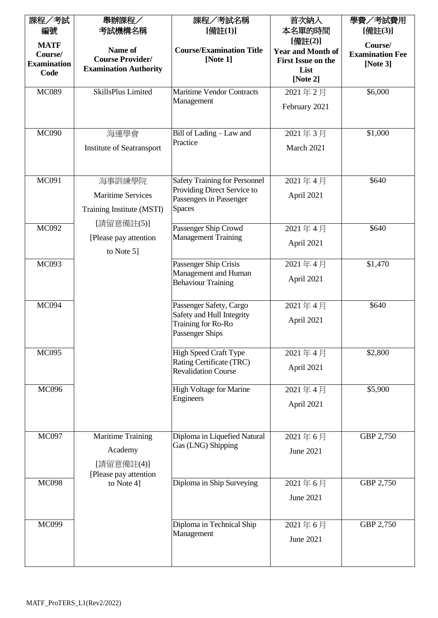| 課程/考試                                        | 舉辦課程/                                                              | 課程/考試名稱                                                                   | 首次納入                                                             | 學費/考試費用                                          |
|----------------------------------------------|--------------------------------------------------------------------|---------------------------------------------------------------------------|------------------------------------------------------------------|--------------------------------------------------|
| 編號                                           | 考試機構名稱                                                             | [備註(1)]                                                                   | 本名單的時間                                                           | [備註(3)]                                          |
| <b>MATF</b><br>Course/<br><b>Examination</b> | Name of<br><b>Course Provider/</b><br><b>Examination Authority</b> | <b>Course/Examination Title</b><br>[Note 1]                               | [備註(2)]<br><b>Year and Month of</b><br><b>First Issue on the</b> | Course/<br><b>Examination Fee</b><br>[Note $3$ ] |
| Code                                         |                                                                    |                                                                           | List<br>[Note $2$ ]                                              |                                                  |
| <b>MC089</b>                                 | SkillsPlus Limited                                                 | <b>Maritime Vendor Contracts</b>                                          | 2021年2月                                                          | \$6,000                                          |
|                                              |                                                                    | Management                                                                | February 2021                                                    |                                                  |
| <b>MC090</b>                                 | 海運學會                                                               | Bill of Lading - Law and                                                  | 2021年3月                                                          | \$1,000                                          |
|                                              | Institute of Seatransport                                          | Practice                                                                  | March 2021                                                       |                                                  |
| <b>MC091</b>                                 | 海事訓練學院                                                             | <b>Safety Training for Personnel</b>                                      | 2021年4月                                                          | \$640                                            |
|                                              | <b>Maritime Services</b>                                           | Providing Direct Service to<br>Passengers in Passenger                    | April 2021                                                       |                                                  |
|                                              | Training Institute (MSTI)                                          | <b>Spaces</b>                                                             |                                                                  |                                                  |
| <b>MC092</b>                                 | [請留意備註(5)]                                                         | Passenger Ship Crowd                                                      | 2021年4月                                                          | \$640                                            |
|                                              | [Please pay attention]                                             | <b>Management Training</b>                                                | April 2021                                                       |                                                  |
|                                              | to Note 5]                                                         |                                                                           |                                                                  |                                                  |
| <b>MC093</b>                                 |                                                                    | Passenger Ship Crisis<br>Management and Human                             | 2021年4月                                                          | \$1,470                                          |
|                                              |                                                                    | <b>Behaviour Training</b>                                                 | April 2021                                                       |                                                  |
| <b>MC094</b>                                 |                                                                    | Passenger Safety, Cargo                                                   | 2021年4月                                                          | \$640                                            |
|                                              |                                                                    | Safety and Hull Integrity<br>Training for Ro-Ro<br><b>Passenger Ships</b> | April 2021                                                       |                                                  |
| <b>MC095</b>                                 |                                                                    | <b>High Speed Craft Type</b>                                              | 2021年4月                                                          | \$2,800                                          |
|                                              |                                                                    | Rating Certificate (TRC)<br><b>Revalidation Course</b>                    | April 2021                                                       |                                                  |
| <b>MC096</b>                                 |                                                                    | <b>High Voltage for Marine</b>                                            | 2021年4月                                                          | \$5,900                                          |
|                                              |                                                                    | Engineers                                                                 | April 2021                                                       |                                                  |
| <b>MC097</b>                                 | <b>Maritime Training</b>                                           | Diploma in Liquefied Natural                                              | 2021年6月                                                          | GBP 2,750                                        |
|                                              | Academy                                                            | Gas (LNG) Shipping                                                        | June 2021                                                        |                                                  |
|                                              | [請留意備註(4)]<br>[Please pay attention]                               |                                                                           |                                                                  |                                                  |
| <b>MC098</b>                                 | to Note 4]                                                         | Diploma in Ship Surveying                                                 | 2021年6月                                                          | GBP 2,750                                        |
|                                              |                                                                    |                                                                           | June 2021                                                        |                                                  |
| <b>MC099</b>                                 |                                                                    | Diploma in Technical Ship                                                 | 2021年6月                                                          | GBP 2,750                                        |
|                                              |                                                                    | Management                                                                | June 2021                                                        |                                                  |
|                                              |                                                                    |                                                                           |                                                                  |                                                  |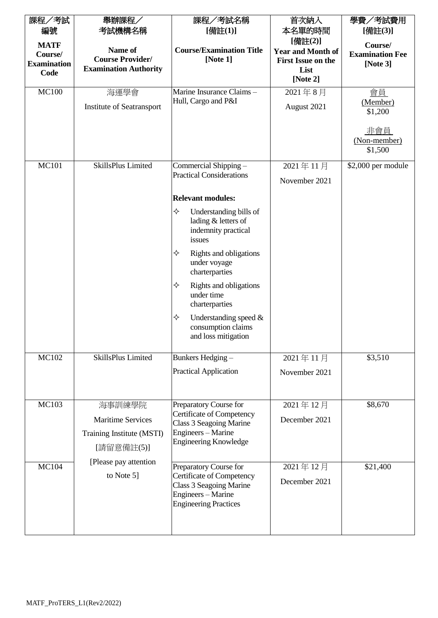| 課程/考試              | 舉辦課程/                        | 課程/考試名稱                                                                                                                              | 首次納入                      | 學費/考試費用                               |
|--------------------|------------------------------|--------------------------------------------------------------------------------------------------------------------------------------|---------------------------|---------------------------------------|
| 編號                 | 考試機構名稱                       | [備註(1)]                                                                                                                              | 本名單的時間                    | [備註(3)]                               |
| <b>MATF</b>        |                              |                                                                                                                                      | [備註(2)]                   | Course/                               |
| Course/            | Name of                      | <b>Course/Examination Title</b>                                                                                                      | <b>Year and Month of</b>  | <b>Examination Fee</b>                |
| <b>Examination</b> | <b>Course Provider/</b>      | [Note $1$ ]                                                                                                                          | <b>First Issue on the</b> | [Note $3$ ]                           |
| Code               | <b>Examination Authority</b> |                                                                                                                                      | List                      |                                       |
|                    |                              |                                                                                                                                      | [Note 2]                  |                                       |
| <b>MC100</b>       | 海運學會                         | Marine Insurance Claims-                                                                                                             | 2021年8月                   | <u>會員</u>                             |
|                    | Institute of Seatransport    | Hull, Cargo and P&I                                                                                                                  | August 2021               | (Member)<br>\$1,200                   |
|                    |                              |                                                                                                                                      |                           | <u>非會員</u><br>(Non-member)<br>\$1,500 |
| <b>MC101</b>       | SkillsPlus Limited           | Commercial Shipping -                                                                                                                | 2021年11月                  | \$2,000 per module                    |
|                    |                              | <b>Practical Considerations</b>                                                                                                      |                           |                                       |
|                    |                              |                                                                                                                                      | November 2021             |                                       |
|                    |                              | <b>Relevant modules:</b>                                                                                                             |                           |                                       |
|                    |                              | ✧<br>Understanding bills of<br>lading & letters of<br>indemnity practical<br>issues                                                  |                           |                                       |
|                    |                              | ✧<br>Rights and obligations<br>under voyage<br>charterparties                                                                        |                           |                                       |
|                    |                              | ✧<br>Rights and obligations<br>under time<br>charterparties                                                                          |                           |                                       |
|                    |                              | ✧<br>Understanding speed $&$<br>consumption claims<br>and loss mitigation                                                            |                           |                                       |
| <b>MC102</b>       | SkillsPlus Limited           | Bunkers Hedging-                                                                                                                     | 2021年11月                  | \$3,510                               |
|                    |                              | <b>Practical Application</b>                                                                                                         |                           |                                       |
|                    |                              |                                                                                                                                      | November 2021             |                                       |
| <b>MC103</b>       | 海事訓練學院                       | Preparatory Course for                                                                                                               | 2021年12月                  | \$8,670                               |
|                    | <b>Maritime Services</b>     | Certificate of Competency                                                                                                            | December 2021             |                                       |
|                    |                              | Class 3 Seagoing Marine                                                                                                              |                           |                                       |
|                    | Training Institute (MSTI)    | Engineers - Marine<br><b>Engineering Knowledge</b>                                                                                   |                           |                                       |
|                    | [請留意備註(5)]                   |                                                                                                                                      |                           |                                       |
| <b>MC104</b>       | [Please pay attention        |                                                                                                                                      |                           |                                       |
|                    | to Note 5]                   | Preparatory Course for<br>Certificate of Competency<br>Class 3 Seagoing Marine<br>Engineers - Marine<br><b>Engineering Practices</b> | 2021年12月<br>December 2021 | \$21,400                              |
|                    |                              |                                                                                                                                      |                           |                                       |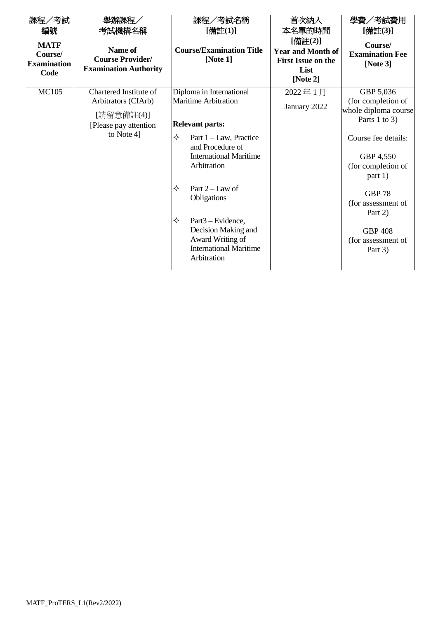| 課程/考試                                                | 舉辦課程/                                                              | 課程/考試名稱                                                                                 | 首次納入                                                                                              | 學費/考試費用                                          |                                                                   |
|------------------------------------------------------|--------------------------------------------------------------------|-----------------------------------------------------------------------------------------|---------------------------------------------------------------------------------------------------|--------------------------------------------------|-------------------------------------------------------------------|
| 編號                                                   | 考試機構名稱                                                             | [備註(1)]                                                                                 | 本名單的時間                                                                                            | [備註(3)]                                          |                                                                   |
| <b>MATF</b><br>Course/<br><b>Examination</b><br>Code | Name of<br><b>Course Provider/</b><br><b>Examination Authority</b> | <b>Course/Examination Title</b><br>[Note $1$ ]                                          | [備註(2)]<br><b>Year and Month of</b><br><b>First Issue on the</b><br>List<br>[Note $2$ ]           | Course/<br><b>Examination Fee</b><br>[Note $3$ ] |                                                                   |
| <b>MC105</b>                                         | Chartered Institute of                                             | Diploma in International                                                                | 2022年1月                                                                                           | GBP 5,036                                        |                                                                   |
|                                                      | Arbitrators (CIArb)<br>[請留意備註(4)]                                  | <b>Maritime Arbitration</b>                                                             | January 2022                                                                                      | (for completion of<br>whole diploma course       |                                                                   |
|                                                      | [Please pay attention]                                             | <b>Relevant parts:</b>                                                                  |                                                                                                   | Parts 1 to 3)                                    |                                                                   |
|                                                      | to Note 4]                                                         |                                                                                         | ✧<br>Part $1$ – Law, Practice<br>and Procedure of<br><b>International Maritime</b><br>Arbitration |                                                  | Course fee details:<br>GBP 4,550<br>(for completion of<br>part 1) |
|                                                      |                                                                    | ✧<br>Part $2 - Law$ of<br>Obligations<br>✧<br>Part <sub>3</sub> – Evidence,             |                                                                                                   | <b>GBP 78</b><br>(for assessment of<br>Part 2)   |                                                                   |
|                                                      |                                                                    | Decision Making and<br>Award Writing of<br><b>International Maritime</b><br>Arbitration |                                                                                                   | <b>GBP 408</b><br>(for assessment of<br>Part 3)  |                                                                   |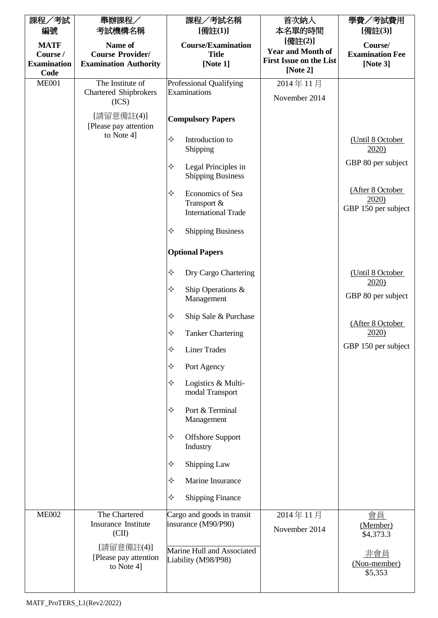| 課程/考試                   | 舉辦課程/                                                               | 課程/考試名稱                                                            | 首次納入                                | 學費/考試費用                                         |
|-------------------------|---------------------------------------------------------------------|--------------------------------------------------------------------|-------------------------------------|-------------------------------------------------|
| 編號                      | 考試機構名稱                                                              | [備註(1)]                                                            | 本名單的時間                              | [備註(3)]                                         |
| <b>MATF</b><br>Course / | Name of<br><b>Course Provider/</b>                                  | <b>Course/Examination</b><br><b>Title</b>                          | [備註(2)]<br><b>Year and Month of</b> | Course/<br><b>Examination Fee</b>               |
| <b>Examination</b>      | <b>Examination Authority</b>                                        | [Note 1]                                                           | <b>First Issue on the List</b>      | [Note $3$ ]                                     |
| Code                    |                                                                     |                                                                    | [Note $2$ ]                         |                                                 |
| <b>ME001</b>            | The Institute of<br><b>Chartered Shipbrokers</b>                    | <b>Professional Qualifying</b><br>Examinations                     | 2014年11月                            |                                                 |
|                         | (ICS)                                                               |                                                                    | November 2014                       |                                                 |
|                         | [請留意備註(4)]<br>[Please pay attention]                                | <b>Compulsory Papers</b>                                           |                                     |                                                 |
|                         | to Note 4]                                                          | ✧<br>Introduction to<br>Shipping                                   |                                     | (Until 8 October<br>2020)                       |
|                         |                                                                     | ✧<br>Legal Principles in<br><b>Shipping Business</b>               |                                     | GBP 80 per subject                              |
|                         |                                                                     | ✧<br>Economics of Sea<br>Transport &<br><b>International Trade</b> |                                     | (After 8 October<br>2020<br>GBP 150 per subject |
|                         |                                                                     | ✧<br><b>Shipping Business</b>                                      |                                     |                                                 |
|                         |                                                                     | <b>Optional Papers</b>                                             |                                     |                                                 |
|                         |                                                                     | ✧<br>Dry Cargo Chartering                                          |                                     | (Until 8 October<br>2020)                       |
|                         |                                                                     | ✧<br>Ship Operations &<br>Management                               |                                     | GBP 80 per subject                              |
|                         |                                                                     | ✧<br>Ship Sale & Purchase                                          |                                     | (After 8 October                                |
|                         |                                                                     | ✧<br><b>Tanker Chartering</b>                                      |                                     | 2020                                            |
|                         |                                                                     | ✧<br><b>Liner Trades</b>                                           |                                     | GBP 150 per subject                             |
|                         |                                                                     | ✧<br>Port Agency                                                   |                                     |                                                 |
|                         |                                                                     | ✧<br>Logistics & Multi-<br>modal Transport                         |                                     |                                                 |
|                         |                                                                     | ✧<br>Port & Terminal<br>Management                                 |                                     |                                                 |
|                         |                                                                     | ✧<br><b>Offshore Support</b><br>Industry                           |                                     |                                                 |
|                         |                                                                     | ✧<br>Shipping Law                                                  |                                     |                                                 |
|                         |                                                                     | ✧<br>Marine Insurance                                              |                                     |                                                 |
|                         |                                                                     | ✧<br><b>Shipping Finance</b>                                       |                                     |                                                 |
| <b>ME002</b>            | The Chartered<br>Insurance Institute<br>$\left( \text{CII} \right)$ | Cargo and goods in transit<br>insurance (M90/P90)                  | 2014年11月<br>November 2014           | 會員<br>(Member)<br>\$4,373.3                     |
|                         | [請留意備註(4)]<br>[Please pay attention<br>to Note 4]                   | Marine Hull and Associated<br>Liability (M98/P98)                  |                                     | 非會員<br>(Non-member)<br>\$5,353                  |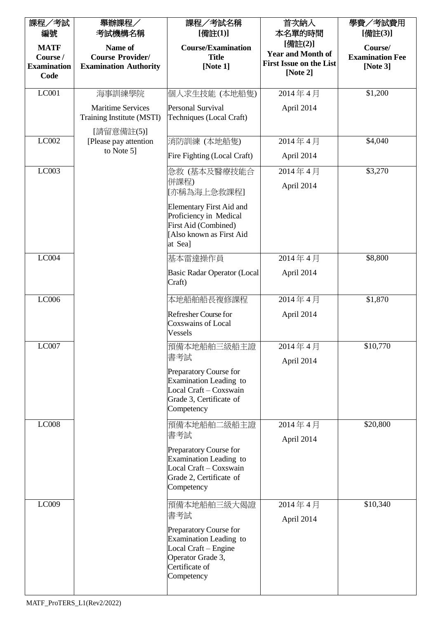| 課程/考試<br>編號                                           | 舉辦課程/<br>考試機構名稱                                                    | 課程/考試名稱<br>[備註(1)]                                                                                                            | 首次納入<br>本名單的時間                                                                    | 學費/考試費用<br>[備註(3)]                               |
|-------------------------------------------------------|--------------------------------------------------------------------|-------------------------------------------------------------------------------------------------------------------------------|-----------------------------------------------------------------------------------|--------------------------------------------------|
| <b>MATF</b><br>Course /<br><b>Examination</b><br>Code | Name of<br><b>Course Provider/</b><br><b>Examination Authority</b> | <b>Course/Examination</b><br><b>Title</b><br>[Note $1$ ]                                                                      | [備註(2)]<br><b>Year and Month of</b><br><b>First Issue on the List</b><br>[Note 2] | Course/<br><b>Examination Fee</b><br>[Note $3$ ] |
| LC001                                                 | 海事訓練學院                                                             | 個人求生技能 (本地船隻)                                                                                                                 | 2014年4月                                                                           | \$1,200                                          |
|                                                       | <b>Maritime Services</b><br>Training Institute (MSTI)              | <b>Personal Survival</b><br>Techniques (Local Craft)                                                                          | April 2014                                                                        |                                                  |
| LC002                                                 | [請留意備註(5)]<br>[Please pay attention]<br>to Note 5]                 | 消防訓練 (本地船隻)                                                                                                                   | 2014年4月                                                                           | \$4,040                                          |
|                                                       |                                                                    | Fire Fighting (Local Craft)                                                                                                   | April 2014                                                                        |                                                  |
| LC003                                                 |                                                                    | 急救(基本及醫療技能合<br>併課程)<br>[亦稱為海上急救課程]                                                                                            | 2014年4月<br>April 2014                                                             | \$3,270                                          |
|                                                       |                                                                    | <b>Elementary First Aid and</b><br>Proficiency in Medical<br>First Aid (Combined)<br>[Also known as First Aid<br>at Sea]      |                                                                                   |                                                  |
| LC004                                                 |                                                                    | 基本雷達操作員                                                                                                                       | 2014年4月                                                                           | \$8,800                                          |
|                                                       |                                                                    | <b>Basic Radar Operator (Local</b><br>Craft)                                                                                  | April 2014                                                                        |                                                  |
| LC006                                                 |                                                                    | 本地船舶船長複修課程                                                                                                                    | 2014年4月                                                                           | \$1,870                                          |
|                                                       |                                                                    | Refresher Course for<br><b>Coxswains of Local</b><br>Vessels                                                                  | April 2014                                                                        |                                                  |
| LC007                                                 |                                                                    | 預備本地船舶三級船主證<br>書考試                                                                                                            | 2014年4月<br>April 2014                                                             | \$10,770                                         |
|                                                       |                                                                    | Preparatory Course for<br>Examination Leading to<br>Local Craft - Coxswain<br>Grade 3, Certificate of<br>Competency           |                                                                                   |                                                  |
| LC008                                                 |                                                                    | 預備本地船舶二級船主證<br>書考試                                                                                                            | 2014年4月<br>April 2014                                                             | \$20,800                                         |
|                                                       |                                                                    | Preparatory Course for<br>Examination Leading to<br>Local Craft - Coxswain<br>Grade 2, Certificate of<br>Competency           |                                                                                   |                                                  |
| LC009                                                 |                                                                    | 預備本地船舶三級大偈證<br>書考試                                                                                                            | 2014年4月<br>April 2014                                                             | \$10,340                                         |
|                                                       |                                                                    | Preparatory Course for<br>Examination Leading to<br>Local Craft - Engine<br>Operator Grade 3,<br>Certificate of<br>Competency |                                                                                   |                                                  |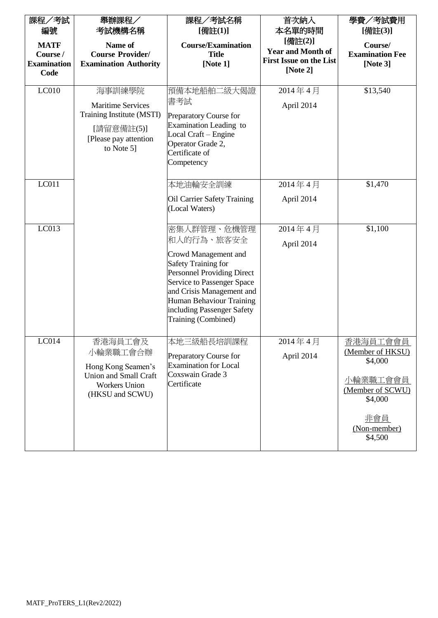| 課程/考試<br>編號<br><b>MATF</b>             | 舉辦課程/<br>考試機構名稱<br>Name of                                                                                           | 課程/考試名稱<br>[備註(1)]<br><b>Course/Examination</b>                                                                                                                                                                                                                  | 首次納入<br>本名單的時間<br>[備註(2)]                                              | 學費/考試費用<br>[備註(3)]<br>Course/                                                                                               |
|----------------------------------------|----------------------------------------------------------------------------------------------------------------------|------------------------------------------------------------------------------------------------------------------------------------------------------------------------------------------------------------------------------------------------------------------|------------------------------------------------------------------------|-----------------------------------------------------------------------------------------------------------------------------|
| Course /<br><b>Examination</b><br>Code | <b>Course Provider/</b><br><b>Examination Authority</b>                                                              | <b>Title</b><br>[Note 1]                                                                                                                                                                                                                                         | <b>Year and Month of</b><br><b>First Issue on the List</b><br>[Note 2] | <b>Examination Fee</b><br>[Note $3$ ]                                                                                       |
| LC010                                  | 海事訓練學院<br><b>Maritime Services</b><br>Training Institute (MSTI)<br>[請留意備註(5)]<br>[Please pay attention<br>to Note 5] | 預備本地船舶二級大偈證<br>書考試<br>Preparatory Course for<br>Examination Leading to<br>Local Craft - Engine<br>Operator Grade 2,<br>Certificate of<br>Competency                                                                                                              | 2014年4月<br>April 2014                                                  | \$13,540                                                                                                                    |
| LC011                                  |                                                                                                                      | 本地油輪安全訓練<br><b>Oil Carrier Safety Training</b><br>(Local Waters)                                                                                                                                                                                                 | 2014年4月<br>April 2014                                                  | \$1,470                                                                                                                     |
| LC013                                  |                                                                                                                      | 密集人群管理、危機管理<br>和人的行為、旅客安全<br>Crowd Management and<br><b>Safety Training for</b><br><b>Personnel Providing Direct</b><br>Service to Passenger Space<br>and Crisis Management and<br>Human Behaviour Training<br>including Passenger Safety<br>Training (Combined) | 2014年4月<br>April 2014                                                  | \$1,100                                                                                                                     |
| LC014                                  | 香港海員工會及<br>小輪業職工會合辦<br>Hong Kong Seamen's<br><b>Union and Small Craft</b><br><b>Workers Union</b><br>(HKSU and SCWU) | 本地三級船長培訓課程<br>Preparatory Course for<br><b>Examination for Local</b><br>Coxswain Grade 3<br>Certificate                                                                                                                                                          | 2014年4月<br>April 2014                                                  | 香港海員工會會員<br>(Member of HKSU)<br>\$4,000<br>小輪業職工會會員<br>(Member of SCWU)<br>\$4,000<br><u>非會員</u><br>(Non-member)<br>\$4,500 |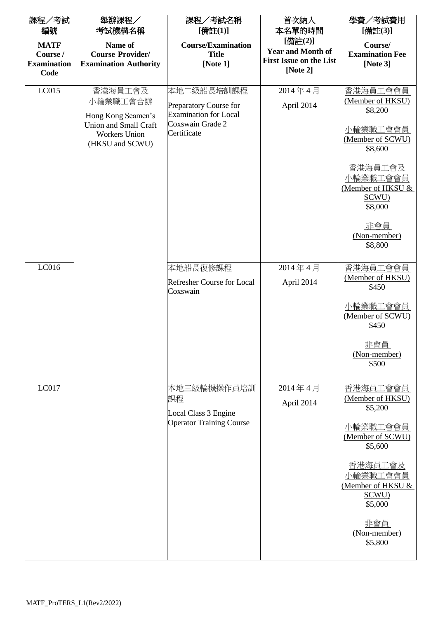| 課程/考試<br>編號                                           | 舉辦課程/<br>考試機構名稱                                                                                               | 課程/考試名稱<br>[備註(1)]                                                                                      | 首次納入<br>本名單的時間                                                                    | 學費/考試費用<br>[備註(3)]                                                                                                                                                                          |
|-------------------------------------------------------|---------------------------------------------------------------------------------------------------------------|---------------------------------------------------------------------------------------------------------|-----------------------------------------------------------------------------------|---------------------------------------------------------------------------------------------------------------------------------------------------------------------------------------------|
| <b>MATF</b><br>Course /<br><b>Examination</b><br>Code | Name of<br><b>Course Provider/</b><br><b>Examination Authority</b>                                            | <b>Course/Examination</b><br><b>Title</b><br>[Note 1]                                                   | [備註(2)]<br><b>Year and Month of</b><br><b>First Issue on the List</b><br>[Note 2] | Course/<br><b>Examination Fee</b><br>[Note $3$ ]                                                                                                                                            |
| LC015                                                 | 香港海員工會及<br>小輪業職工會合辦<br>Hong Kong Seamen's<br>Union and Small Craft<br><b>Workers Union</b><br>(HKSU and SCWU) | 本地二級船長培訓課程<br>Preparatory Course for<br><b>Examination for Local</b><br>Coxswain Grade 2<br>Certificate | 2014年4月<br>April 2014                                                             | 香港海員工會會員<br>(Member of HKSU)<br>\$8,200<br>小輪業職工會會員<br>(Member of SCWU)<br>\$8,600<br>香港海員工會及<br>小輪業職工會會員<br>(Member of HKSU &<br>SCWU)<br>\$8,000<br><u>非會員</u><br>(Non-member)<br>\$8,800 |
| LC016                                                 |                                                                                                               | 本地船長復修課程<br><b>Refresher Course for Local</b><br>Coxswain                                               | 2014年4月<br>April 2014                                                             | 香港海員工會會員<br>(Member of HKSU)<br>\$450<br>小輪業職工會會員<br>(Member of SCWU)<br>\$450<br>非會員<br>(Non-member)<br>\$500                                                                              |
| LC017                                                 |                                                                                                               | 本地三級輪機操作員培訓<br>課程<br>Local Class 3 Engine<br><b>Operator Training Course</b>                            | 2014年4月<br>April 2014                                                             | 香港海員工會會員<br>(Member of HKSU)<br>\$5,200<br>小輪業職工會會員<br>(Member of SCWU)<br>\$5,600<br>香港海員工會及<br>小輪業職工會會員<br>(Member of HKSU &<br>SCWU)<br>\$5,000<br>非會員<br>(Non-member)<br>\$5,800        |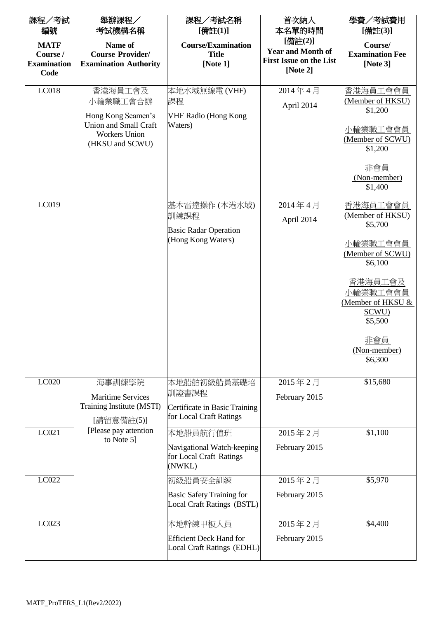| 課程/考試                                                 | 舉辦課程/                                                                                                         | 課程/考試名稱                                                         | 首次納入                                                                              | 學費/考試費用                                                                            |
|-------------------------------------------------------|---------------------------------------------------------------------------------------------------------------|-----------------------------------------------------------------|-----------------------------------------------------------------------------------|------------------------------------------------------------------------------------|
| 編號                                                    | 考試機構名稱                                                                                                        | [備註(1)]                                                         | 本名單的時間                                                                            | [備註(3)]                                                                            |
| <b>MATF</b><br>Course /<br><b>Examination</b><br>Code | Name of<br><b>Course Provider/</b><br><b>Examination Authority</b>                                            | <b>Course/Examination</b><br><b>Title</b><br>[Note $1$ ]        | [備註(2)]<br><b>Year and Month of</b><br><b>First Issue on the List</b><br>[Note 2] | Course/<br><b>Examination Fee</b><br>[Note $3$ ]                                   |
|                                                       |                                                                                                               |                                                                 |                                                                                   |                                                                                    |
| LC018                                                 | 香港海員工會及<br>小輪業職工會合辦<br>Hong Kong Seamen's<br>Union and Small Craft<br><b>Workers Union</b><br>(HKSU and SCWU) | 本地水域無線電(VHF)<br>課程<br><b>VHF Radio (Hong Kong</b><br>Waters)    | 2014年4月<br>April 2014                                                             | 香港海員工會會員<br>(Member of HKSU)<br>\$1,200<br>小輪業職工會會員<br>(Member of SCWU)<br>\$1,200 |
|                                                       |                                                                                                               |                                                                 |                                                                                   | 非會員<br>(Non-member)<br>\$1,400                                                     |
| LC019                                                 |                                                                                                               | 基本雷達操作 (本港水域)<br>訓練課程                                           | 2014年4月<br>April 2014                                                             | 香港海員工會會員<br>(Member of HKSU)<br>\$5,700                                            |
|                                                       |                                                                                                               | <b>Basic Radar Operation</b><br>(Hong Kong Waters)              |                                                                                   | 小輪業職工會會員<br>(Member of SCWU)<br>\$6,100                                            |
|                                                       |                                                                                                               |                                                                 |                                                                                   | 香港海員工會及<br>小輪業職工會會員<br>(Member of HKSU &<br>SCWU)<br>\$5,500                       |
|                                                       |                                                                                                               |                                                                 |                                                                                   | 非會員<br>(Non-member)<br>\$6,300                                                     |
| LC020                                                 | 海事訓練學院                                                                                                        | 本地船舶初級船員基礎培                                                     | 2015年2月                                                                           | \$15,680                                                                           |
|                                                       | <b>Maritime Services</b>                                                                                      | 訓證書課程                                                           | February 2015                                                                     |                                                                                    |
|                                                       | Training Institute (MSTI)<br>[請留意備註(5)]                                                                       | Certificate in Basic Training<br>for Local Craft Ratings        |                                                                                   |                                                                                    |
| LC021                                                 | [Please pay attention]<br>to Note 5]                                                                          | 本地船員航行值班                                                        | 2015年2月                                                                           | \$1,100                                                                            |
|                                                       |                                                                                                               | Navigational Watch-keeping<br>for Local Craft Ratings<br>(NWKL) | February 2015                                                                     |                                                                                    |
| LC022                                                 |                                                                                                               | 初級船員安全訓練                                                        | 2015年2月                                                                           | \$5,970                                                                            |
|                                                       |                                                                                                               | <b>Basic Safety Training for</b><br>Local Craft Ratings (BSTL)  | February 2015                                                                     |                                                                                    |
| LC023                                                 |                                                                                                               | 本地幹練甲板人員                                                        | 2015年2月                                                                           | \$4,400                                                                            |
|                                                       |                                                                                                               | <b>Efficient Deck Hand for</b><br>Local Craft Ratings (EDHL)    | February 2015                                                                     |                                                                                    |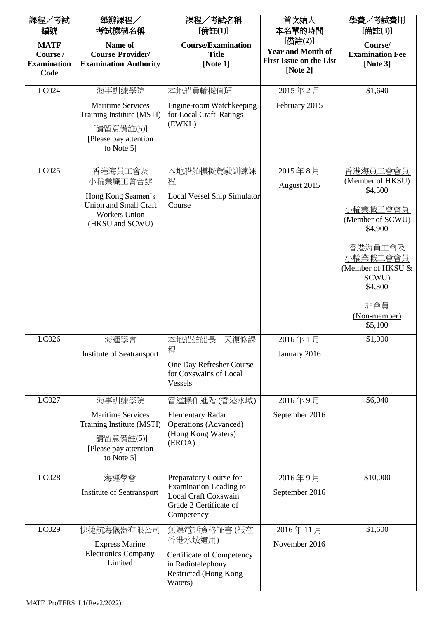| 課程/考試<br>編號                                           | 舉辦課程/<br>考試機構名稱                                                                                             | 課程/考試名稱<br>[備註(1)]                                                                        | 首次納入<br>本名單的時間                                                                    | 學費/考試費用<br>[備註(3)]                                           |
|-------------------------------------------------------|-------------------------------------------------------------------------------------------------------------|-------------------------------------------------------------------------------------------|-----------------------------------------------------------------------------------|--------------------------------------------------------------|
| <b>MATF</b><br>Course /<br><b>Examination</b><br>Code | Name of<br><b>Course Provider/</b><br><b>Examination Authority</b>                                          | <b>Course/Examination</b><br><b>Title</b><br>[Note $1$ ]                                  | [備註(2)]<br><b>Year and Month of</b><br><b>First Issue on the List</b><br>[Note 2] | Course/<br><b>Examination Fee</b><br>[Note $3$ ]             |
| LC024                                                 | 海事訓練學院                                                                                                      | 本地船員輪機值班                                                                                  | 2015年2月                                                                           | \$1,640                                                      |
|                                                       | <b>Maritime Services</b><br>Training Institute (MSTI)<br>[請留意備註(5)]<br>[Please pay attention<br>to Note 5]  | Engine-room Watchkeeping<br>for Local Craft Ratings<br>(EWKL)                             | February 2015                                                                     |                                                              |
| LC025                                                 | 香港海員工會及                                                                                                     | 本地船舶模擬駕駛訓練課                                                                               | 2015年8月                                                                           | 香港海員工會會員                                                     |
|                                                       | 小輪業職工會合辦                                                                                                    | 程                                                                                         | August 2015                                                                       | (Member of HKSU)<br>\$4,500                                  |
|                                                       | Hong Kong Seamen's<br><b>Union and Small Craft</b><br><b>Workers Union</b><br>(HKSU and SCWU)               | <b>Local Vessel Ship Simulator</b><br>Course                                              |                                                                                   | 小輪業職工會會員<br>(Member of SCWU)<br>\$4,900                      |
|                                                       |                                                                                                             |                                                                                           |                                                                                   | 香港海員工會及<br>卜輪業職工會會員<br>(Member of HKSU &<br>SCWU)<br>\$4,300 |
|                                                       |                                                                                                             |                                                                                           |                                                                                   | 非會員<br>(Non-member)<br>\$5,100                               |
| LC026                                                 | 海運學會                                                                                                        | 本地船舶船長一天復修課                                                                               | 2016年1月                                                                           | \$1,000                                                      |
|                                                       | <b>Institute of Seatransport</b>                                                                            | 程<br>One Day Refresher Course<br>for Coxswains of Local<br>Vessels                        | January 2016                                                                      |                                                              |
| LC027                                                 | 海事訓練學院                                                                                                      | 雷達操作進階 (香港水域)                                                                             | 2016年9月                                                                           | \$6,040                                                      |
|                                                       | <b>Maritime Services</b><br>Training Institute (MSTI)<br>[請留意備註(5)]<br>[Please pay attention]<br>to Note 5] | <b>Elementary Radar</b><br>Operations (Advanced)<br>(Hong Kong Waters)<br>(EROA)          | September 2016                                                                    |                                                              |
| LC028                                                 | 海運學會                                                                                                        | Preparatory Course for<br><b>Examination Leading to</b>                                   | 2016年9月                                                                           | \$10,000                                                     |
|                                                       | Institute of Seatransport                                                                                   | <b>Local Craft Coxswain</b><br>Grade 2 Certificate of<br>Competency                       | September 2016                                                                    |                                                              |
| LC029                                                 | 快捷航海儀器有限公司                                                                                                  | 無線電話資格証書 (祇在<br>香港水域適用)                                                                   | 2016年11月                                                                          | \$1,600                                                      |
|                                                       | <b>Express Marine</b><br><b>Electronics Company</b><br>Limited                                              | Certificate of Competency<br>in Radiotelephony<br><b>Restricted (Hong Kong</b><br>Waters) | November 2016                                                                     |                                                              |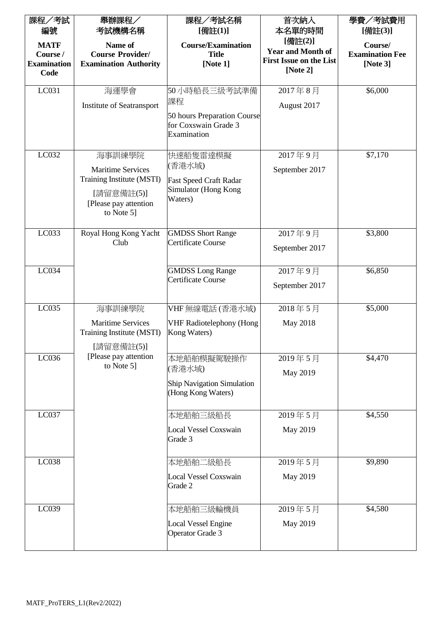| 課程/考試<br>編號                                           | 舉辦課程/<br>考試機構名稱                                                                 | 課程/考試名稱<br>[備註(1)]                                                 | 首次納入<br>本名單的時間                                                                    | 學費/考試費用<br>[備註(3)]                               |
|-------------------------------------------------------|---------------------------------------------------------------------------------|--------------------------------------------------------------------|-----------------------------------------------------------------------------------|--------------------------------------------------|
| <b>MATF</b><br>Course /<br><b>Examination</b><br>Code | Name of<br><b>Course Provider/</b><br><b>Examination Authority</b>              | <b>Course/Examination</b><br><b>Title</b><br>[Note 1]              | [備註(2)]<br><b>Year and Month of</b><br><b>First Issue on the List</b><br>[Note 2] | Course/<br><b>Examination Fee</b><br>[Note $3$ ] |
| LC031                                                 | 海運學會                                                                            | 50小時船長三級考試準備                                                       | 2017年8月                                                                           | \$6,000                                          |
|                                                       | Institute of Seatransport                                                       | 課程                                                                 | August 2017                                                                       |                                                  |
|                                                       |                                                                                 | 50 hours Preparation Course<br>for Coxswain Grade 3<br>Examination |                                                                                   |                                                  |
| LC032                                                 | 海事訓練學院                                                                          | 快速船隻雷達模擬                                                           | 2017年9月                                                                           | \$7,170                                          |
|                                                       | <b>Maritime Services</b>                                                        | (香港水域)                                                             | September 2017                                                                    |                                                  |
|                                                       | Training Institute (MSTI)<br>[請留意備註(5)]<br>[Please pay attention]<br>to Note 5] | <b>Fast Speed Craft Radar</b><br>Simulator (Hong Kong<br>Waters)   |                                                                                   |                                                  |
| LC033                                                 | Royal Hong Kong Yacht                                                           | <b>GMDSS Short Range</b>                                           | 2017年9月                                                                           | \$3,800                                          |
|                                                       | Club                                                                            | Certificate Course                                                 | September 2017                                                                    |                                                  |
| LC034                                                 |                                                                                 | <b>GMDSS Long Range</b>                                            | 2017年9月                                                                           | \$6,850                                          |
|                                                       |                                                                                 | <b>Certificate Course</b>                                          | September 2017                                                                    |                                                  |
| LC035                                                 | 海事訓練學院                                                                          | VHF 無線電話 (香港水域)                                                    | 2018年5月                                                                           | \$5,000                                          |
|                                                       | <b>Maritime Services</b><br>Training Institute (MSTI)<br>[請留意備註(5)]             | <b>VHF Radiotelephony (Hong</b><br>Kong Waters)                    | May 2018                                                                          |                                                  |
| LC036                                                 | [Please pay attention]                                                          | 本地船舶模擬駕駛操作                                                         | 2019年5月                                                                           | \$4,470                                          |
|                                                       | to Note 5]                                                                      | (香港水域)                                                             | May 2019                                                                          |                                                  |
|                                                       |                                                                                 | <b>Ship Navigation Simulation</b><br>(Hong Kong Waters)            |                                                                                   |                                                  |
| LC037                                                 |                                                                                 | 本地船舶三級船長                                                           | 2019年5月                                                                           | \$4,550                                          |
|                                                       |                                                                                 | <b>Local Vessel Coxswain</b><br>Grade 3                            | May 2019                                                                          |                                                  |
| LC038                                                 |                                                                                 | 本地船舶二級船長                                                           | 2019年5月                                                                           | \$9,890                                          |
|                                                       |                                                                                 | <b>Local Vessel Coxswain</b><br>Grade 2                            | May 2019                                                                          |                                                  |
| LC039                                                 |                                                                                 | 本地船舶三級輪機員                                                          | 2019年5月                                                                           | \$4,580                                          |
|                                                       |                                                                                 | <b>Local Vessel Engine</b><br>Operator Grade 3                     | May 2019                                                                          |                                                  |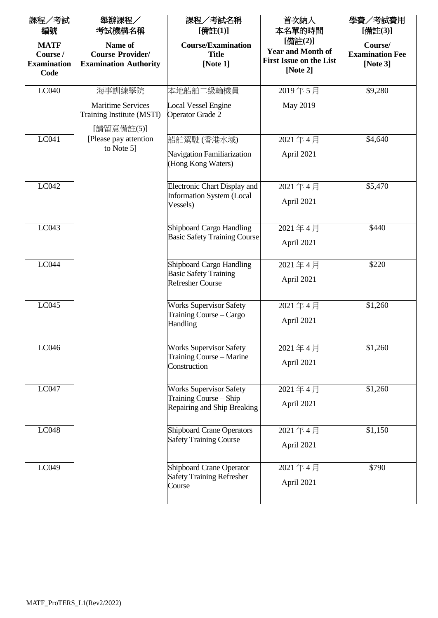| 課程/考試<br>編號<br><b>MATF</b><br>Course /<br><b>Examination</b><br>Code | 舉辦課程/<br>考試機構名稱<br>Name of<br><b>Course Provider/</b><br><b>Examination Authority</b> | 課程/考試名稱<br>[備註(1)]<br><b>Course/Examination</b><br><b>Title</b><br>[Note 1]   | 首次納入<br>本名單的時間<br>[備註(2)]<br><b>Year and Month of</b><br><b>First Issue on the List</b><br>[Note 2] | 學費/考試費用<br>[備註(3)]<br>Course/<br><b>Examination Fee</b><br>[Note $3$ ] |
|----------------------------------------------------------------------|---------------------------------------------------------------------------------------|-------------------------------------------------------------------------------|-----------------------------------------------------------------------------------------------------|------------------------------------------------------------------------|
| LC040                                                                | 海事訓練學院                                                                                | 本地船舶二級輪機員                                                                     | 2019年5月                                                                                             | \$9,280                                                                |
|                                                                      | <b>Maritime Services</b><br>Training Institute (MSTI)<br>[請留意備註(5)]                   | <b>Local Vessel Engine</b><br>Operator Grade 2                                | May 2019                                                                                            |                                                                        |
| LC041                                                                | [Please pay attention                                                                 | 船舶駕駛(香港水域)                                                                    | 2021年4月                                                                                             | \$4,640                                                                |
|                                                                      | to Note 5]                                                                            | Navigation Familiarization<br>(Hong Kong Waters)                              | April 2021                                                                                          |                                                                        |
| LC042                                                                |                                                                                       | <b>Electronic Chart Display and</b>                                           | 2021年4月                                                                                             | \$5,470                                                                |
|                                                                      |                                                                                       | <b>Information System (Local</b><br>Vessels)                                  | April 2021                                                                                          |                                                                        |
| LC043                                                                |                                                                                       | <b>Shipboard Cargo Handling</b>                                               | 2021年4月                                                                                             | \$440                                                                  |
|                                                                      |                                                                                       | <b>Basic Safety Training Course</b>                                           | April 2021                                                                                          |                                                                        |
| LC044                                                                |                                                                                       | Shipboard Cargo Handling<br><b>Basic Safety Training</b>                      | 2021年4月                                                                                             | \$220                                                                  |
|                                                                      |                                                                                       | <b>Refresher Course</b>                                                       | April 2021                                                                                          |                                                                        |
| LC045                                                                |                                                                                       | <b>Works Supervisor Safety</b>                                                | 2021年4月                                                                                             | \$1,260                                                                |
|                                                                      |                                                                                       | Training Course - Cargo<br>Handling                                           | April 2021                                                                                          |                                                                        |
| LC046                                                                |                                                                                       | <b>Works Supervisor Safety</b>                                                | 2021年4月                                                                                             | \$1,260                                                                |
|                                                                      |                                                                                       | Training Course - Marine<br>Construction                                      | April 2021                                                                                          |                                                                        |
| LC047                                                                |                                                                                       | <b>Works Supervisor Safety</b>                                                | 2021年4月                                                                                             | \$1,260                                                                |
|                                                                      |                                                                                       | Training Course – Ship<br>Repairing and Ship Breaking                         | April 2021                                                                                          |                                                                        |
| LC048                                                                |                                                                                       | <b>Shipboard Crane Operators</b>                                              | 2021年4月                                                                                             | \$1,150                                                                |
|                                                                      |                                                                                       | <b>Safety Training Course</b>                                                 | April 2021                                                                                          |                                                                        |
| LC049                                                                |                                                                                       | <b>Shipboard Crane Operator</b><br><b>Safety Training Refresher</b><br>Course | 2021年4月<br>April 2021                                                                               | \$790                                                                  |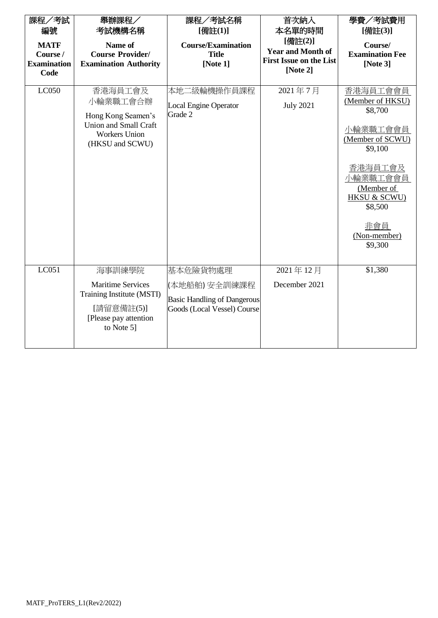| 課程/考試<br>編號<br><b>MATF</b><br>Course /<br><b>Examination</b><br>Code | 舉辦課程/<br>考試機構名稱<br>Name of<br><b>Course Provider/</b><br><b>Examination Authority</b>                                 | 課程/考試名稱<br>[備註(1)]<br><b>Course/Examination</b><br><b>Title</b><br>[Note 1]                    | 首次納入<br>本名單的時間<br>[備註(2)]<br><b>Year and Month of</b><br><b>First Issue on the List</b><br>[Note $2$ ] | 學費/考試費用<br>[備註(3)]<br>Course/<br><b>Examination Fee</b><br>[Note $3$ ]                                                                                                                          |
|----------------------------------------------------------------------|-----------------------------------------------------------------------------------------------------------------------|------------------------------------------------------------------------------------------------|--------------------------------------------------------------------------------------------------------|-------------------------------------------------------------------------------------------------------------------------------------------------------------------------------------------------|
| LC050                                                                | 香港海員工會及<br>小輪業職工會合辦<br>Hong Kong Seamen's<br>Union and Small Craft<br><b>Workers Union</b><br>(HKSU and SCWU)         | 本地二級輪機操作員課程<br><b>Local Engine Operator</b><br>Grade 2                                         | 2021年7月<br><b>July 2021</b>                                                                            | 香港海員工會會員<br>(Member of HKSU)<br>\$8,700<br>小輪業職工會會員<br>(Member of SCWU)<br>\$9,100<br>香港海員工會及<br>小輪業職工會會員<br>(Member of<br><b>HKSU &amp; SCWU)</b><br>\$8,500<br>非會員<br>(Non-member)<br>\$9,300 |
| LC051                                                                | 海事訓練學院<br><b>Maritime Services</b><br>Training Institute (MSTI)<br>[請留意備註(5)]<br>[Please pay attention]<br>to Note 5] | 基本危險貨物處理<br>(本地船舶) 安全訓練課程<br><b>Basic Handling of Dangerous</b><br>Goods (Local Vessel) Course | 2021年12月<br>December 2021                                                                              | \$1,380                                                                                                                                                                                         |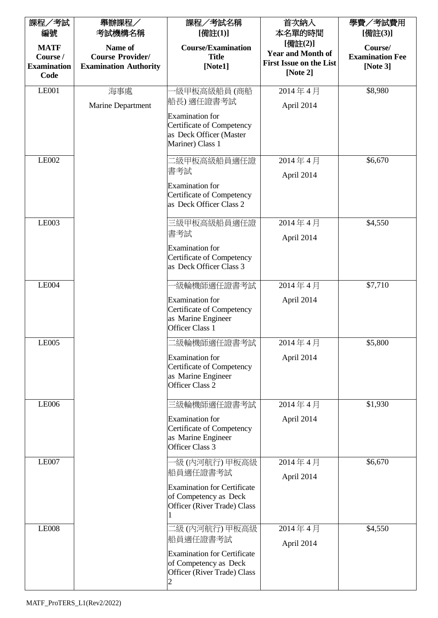| 課程/考試<br>編號                                           | 舉辦課程/<br>考試機構名稱                                                    | 課程/考試名稱<br>[備註(1)]                                                                                               | 首次納入<br>本名單的時間                                                                    | 學費/考試費用<br>[備註(3)]                               |
|-------------------------------------------------------|--------------------------------------------------------------------|------------------------------------------------------------------------------------------------------------------|-----------------------------------------------------------------------------------|--------------------------------------------------|
| <b>MATF</b><br>Course /<br><b>Examination</b><br>Code | Name of<br><b>Course Provider/</b><br><b>Examination Authority</b> | <b>Course/Examination</b><br><b>Title</b><br>[Note1]                                                             | [備註(2)]<br><b>Year and Month of</b><br><b>First Issue on the List</b><br>[Note 2] | Course/<br><b>Examination Fee</b><br>[Note $3$ ] |
| <b>LE001</b>                                          | 海事處                                                                | ·級甲板高級船員 (商船                                                                                                     | 2014年4月                                                                           | \$8,980                                          |
|                                                       | Marine Department                                                  | 船長) 適任證書考試<br><b>Examination</b> for<br>Certificate of Competency<br>as Deck Officer (Master<br>Mariner) Class 1 | April 2014                                                                        |                                                  |
| LE002                                                 |                                                                    | 1級甲板高級船員適任證<br>書考試<br><b>Examination</b> for<br><b>Certificate of Competency</b><br>as Deck Officer Class 2      | 2014年4月<br>April 2014                                                             | \$6,670                                          |
| <b>LE003</b>                                          |                                                                    | 三級甲板高級船員適任證                                                                                                      | 2014年4月                                                                           | \$4,550                                          |
|                                                       |                                                                    | 書考試<br><b>Examination</b> for<br><b>Certificate of Competency</b><br>as Deck Officer Class 3                     | April 2014                                                                        |                                                  |
| <b>LE004</b>                                          |                                                                    | ·級輪機師適任證書考試                                                                                                      | 2014年4月                                                                           | \$7,710                                          |
|                                                       |                                                                    | <b>Examination</b> for<br><b>Certificate of Competency</b><br>as Marine Engineer<br>Officer Class 1              | April 2014                                                                        |                                                  |
| <b>LE005</b>                                          |                                                                    | 級輪機師適任證書考試                                                                                                       | 2014年4月                                                                           | \$5,800                                          |
|                                                       |                                                                    | <b>Examination</b> for<br><b>Certificate of Competency</b><br>as Marine Engineer<br>Officer Class 2              | April 2014                                                                        |                                                  |
| <b>LE006</b>                                          |                                                                    | 三級輪機師適任證書考試                                                                                                      | 2014年4月                                                                           | \$1,930                                          |
|                                                       |                                                                    | Examination for<br><b>Certificate of Competency</b><br>as Marine Engineer<br>Officer Class 3                     | April 2014                                                                        |                                                  |
| <b>LE007</b>                                          |                                                                    | ·級 (內河航行) 甲板高級                                                                                                   | 2014年4月                                                                           | \$6,670                                          |
|                                                       |                                                                    | 船員適任證書考試<br><b>Examination for Certificate</b><br>of Competency as Deck<br>Officer (River Trade) Class           | April 2014                                                                        |                                                  |
| <b>LE008</b>                                          |                                                                    | 二級 (内河航行) 甲板高級<br>船員適任證書考試                                                                                       | 2014年4月<br>April 2014                                                             | \$4,550                                          |
|                                                       |                                                                    | <b>Examination for Certificate</b><br>of Competency as Deck<br>Officer (River Trade) Class                       |                                                                                   |                                                  |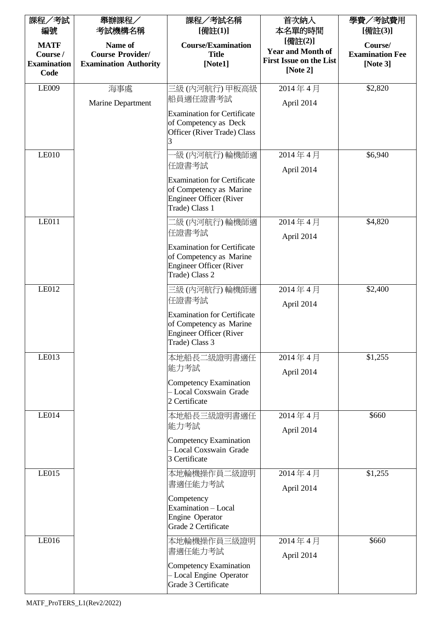| 課程/考試<br>編號                                           | 舉辦課程/<br>考試機構名稱                                                    | 課程/考試名稱<br>[備註(1)]                                                                                                                           | 首次納入<br>本名單的時間                                                                    | 學費/考試費用<br>[備註(3)]                               |
|-------------------------------------------------------|--------------------------------------------------------------------|----------------------------------------------------------------------------------------------------------------------------------------------|-----------------------------------------------------------------------------------|--------------------------------------------------|
| <b>MATF</b><br>Course /<br><b>Examination</b><br>Code | Name of<br><b>Course Provider/</b><br><b>Examination Authority</b> | <b>Course/Examination</b><br><b>Title</b><br>[Note1]                                                                                         | [備註(2)]<br><b>Year and Month of</b><br><b>First Issue on the List</b><br>[Note 2] | Course/<br><b>Examination Fee</b><br>[Note $3$ ] |
| LE009                                                 | 海事處<br>Marine Department                                           | 三級 (內河航行) 甲板高級<br>船員適任證書考試<br><b>Examination for Certificate</b><br>of Competency as Deck<br>Officer (River Trade) Class                     | 2014年4月<br>April 2014                                                             | \$2,820                                          |
| <b>LE010</b>                                          |                                                                    | ·級 (內河航行) 輪機師適<br>任證書考試<br><b>Examination for Certificate</b><br>of Competency as Marine<br><b>Engineer Officer (River</b><br>Trade) Class 1 | 2014年4月<br>April 2014                                                             | \$6,940                                          |
| <b>LE011</b>                                          |                                                                    | 二級(內河航行)輪機師適<br>任證書考試<br><b>Examination for Certificate</b><br>of Competency as Marine<br><b>Engineer Officer (River</b><br>Trade) Class 2   | 2014年4月<br>April 2014                                                             | \$4,820                                          |
| LE012                                                 |                                                                    | 三級(內河航行)輪機師適<br>任證書考試<br><b>Examination for Certificate</b><br>of Competency as Marine<br><b>Engineer Officer (River</b><br>Trade) Class 3   | 2014年4月<br>April 2014                                                             | \$2,400                                          |
| LE013                                                 |                                                                    | 本地船長二級證明書適任<br>能力考試<br>Competency Examination<br>- Local Coxswain Grade<br>2 Certificate                                                     | 2014年4月<br>April 2014                                                             | \$1,255                                          |
| <b>LE014</b>                                          |                                                                    | 本地船長三級證明書適任<br>能力考試<br>Competency Examination<br>- Local Coxswain Grade<br>3 Certificate                                                     | 2014年4月<br>April 2014                                                             | \$660                                            |
| <b>LE015</b>                                          |                                                                    | 本地輪機操作員二級證明<br>書適任能力考試<br>Competency<br>Examination - Local<br>Engine Operator<br>Grade 2 Certificate                                        | 2014年4月<br>April 2014                                                             | \$1,255                                          |
| LE016                                                 |                                                                    | 本地輪機操作員三級證明<br>書適任能力考試<br>Competency Examination<br>- Local Engine Operator<br>Grade 3 Certificate                                           | 2014年4月<br>April 2014                                                             | \$660                                            |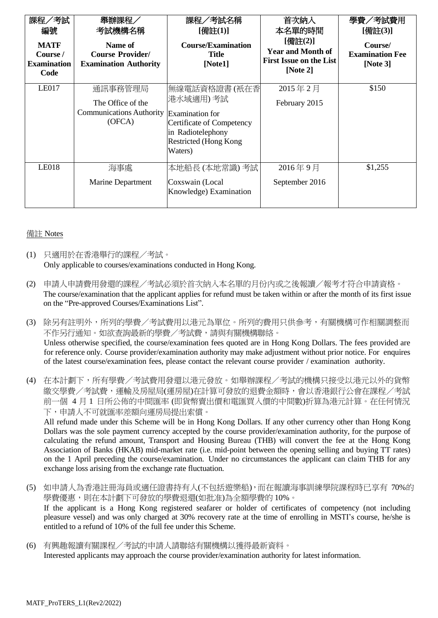| 課程/考試<br>編號<br><b>MATF</b><br>Course /<br><b>Examination</b><br>Code | 舉辦課程<br>考試機構名稱<br>Name of<br><b>Course Provider/</b><br><b>Examination Authority</b> | 課程/考試名稱<br>[備註(1)]<br><b>Course/Examination</b><br><b>Title</b><br>[Note1]                                                         | 首次納入<br>本名單的時間<br>[備註(2)]<br><b>Year and Month of</b><br><b>First Issue on the List</b><br>[Note $2$ ] | 學費/考試費用<br>[備註(3)]<br>Course/<br><b>Examination Fee</b><br>[Note $3$ ] |
|----------------------------------------------------------------------|--------------------------------------------------------------------------------------|------------------------------------------------------------------------------------------------------------------------------------|--------------------------------------------------------------------------------------------------------|------------------------------------------------------------------------|
| <b>LE017</b>                                                         | 通訊事務管理局<br>The Office of the<br><b>Communications Authority</b><br>(OFCA)            | 無線電話資格證書(衹在香 <br>港水域適用)考試<br>Examination for<br>Certificate of Competency<br>in Radiotelephony<br>Restricted (Hong Kong<br>Waters) | 2015年2月<br>February 2015                                                                               | \$150                                                                  |
| <b>LE018</b>                                                         | 海事處<br>Marine Department                                                             | 本地船長 (本地常識) 考試<br>Coxswain (Local<br>Knowledge) Examination                                                                        | 2016年9月<br>September 2016                                                                              | \$1,255                                                                |

## 備註 Notes

- (1) 只適用於在香港舉行的課程/考試。 Only applicable to courses/examinations conducted in Hong Kong.
- (2) 申請人申請費用發還的課程/考試必須於首次納入本名單的月份內或之後報讀/報考才符合申請資格。 The course/examination that the applicant applies for refund must be taken within or after the month of its first issue on the "Pre-approved Courses/Examinations List".
- (3) 除另有註明外,所列的學費/考試費用以港元為單位。所列的費用只供參考,有關機構可作相關調整而 不作另行通知。如欲查詢最新的學費/考試費,請與有關機構聯絡。 Unless otherwise specified, the course/examination fees quoted are in Hong Kong Dollars. The fees provided are for reference only. Course provider/examination authority may make adjustment without prior notice. For enquires of the latest course/examination fees, please contact the relevant course provider / examination authority.
- (4) 在本計劃下,所有學費/考試費用發還以港元發放。如舉辦課程/考試的機構只接受以港元以外的貨幣 繳交學費/考試費,運輸及房屋局(運房屋)在計算可發放的退費金額時,會以香港銀行公會在課程/考試 前一個 4 月 1 日所公佈的中間匯率 (即貨幣賣出價和電匯買入價的中間數)折算為港元計算。在任何情況 下,申請人不可就匯率差額向運房局提出索償。

All refund made under this Scheme will be in Hong Kong Dollars. If any other currency other than Hong Kong Dollars was the sole payment currency accepted by the course provider/examination authority, for the purpose of calculating the refund amount, Transport and Housing Bureau (THB) will convert the fee at the Hong Kong Association of Banks (HKAB) mid-market rate (i.e. mid-point between the opening selling and buying TT rates) on the 1 April preceding the course/examination. Under no circumstances the applicant can claim THB for any exchange loss arising from the exchange rate fluctuation.

- (5) 如申請人為香港註冊海員或適任證書持有人(不包括遊樂船),而在報讀海事訓練學院課程時已享有 70%的 學費優惠,則在本計劃下可發放的學費退還(如批准)為全額學費的 10%。 If the applicant is a Hong Kong registered seafarer or holder of certificates of competency (not including pleasure vessel) and was only charged at 30% recovery rate at the time of enrolling in MSTI's course, he/she is entitled to a refund of 10% of the full fee under this Scheme.
- (6) 有興趣報讀有關課程/考試的申請人請聯絡有關機構以獲得最新資料。 Interested applicants may approach the course provider/examination authority for latest information.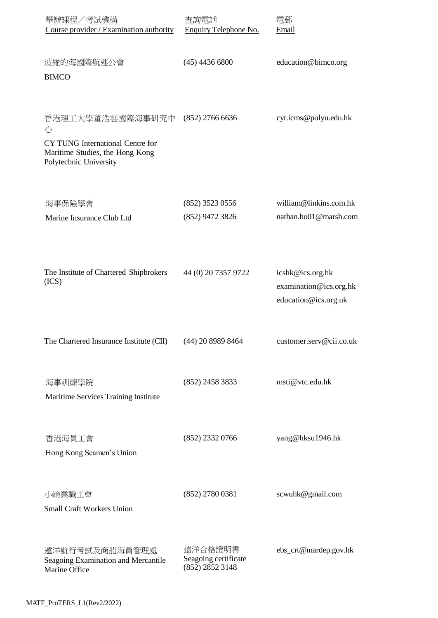| 舉辦課程/考試機構<br>Course provider / Examination authority                                                                   | 杳詢畱詁<br>Enquiry Telephone No.                      | 雷軋<br>Email                                                        |
|------------------------------------------------------------------------------------------------------------------------|----------------------------------------------------|--------------------------------------------------------------------|
| 波羅的海國際航運公會<br><b>BIMCO</b>                                                                                             | $(45)$ 4436 6800                                   | education@bimco.org                                                |
| 香港理工大學董浩雲國際海事研究中<br>心<br>CY TUNG International Centre for<br>Maritime Studies, the Hong Kong<br>Polytechnic University | $(852)$ 2766 6636                                  | cyt.icms@polyu.edu.hk                                              |
| 海事保險學會<br>Marine Insurance Club Ltd                                                                                    | (852) 3523 0556<br>(852) 9472 3826                 | william@linkins.com.hk<br>nathan.ho01@marsh.com                    |
| The Institute of Chartered Shipbrokers<br>(ICS)                                                                        | 44 (0) 20 7357 9722                                | icshk@ics.org.hk<br>examination@ics.org.hk<br>education@ics.org.uk |
| The Chartered Insurance Institute (CII)                                                                                | (44) 20 8989 8464                                  | customer.serv@cii.co.uk                                            |
| 海事訓練學院<br>Maritime Services Training Institute                                                                         | $(852)$ 2458 3833                                  | msti@vtc.edu.hk                                                    |
| 香港海員工會<br>Hong Kong Seamen's Union                                                                                     | $(852)$ 2332 0766                                  | yang@hksu1946.hk                                                   |
| 小輪業職工會<br><b>Small Craft Workers Union</b>                                                                             | $(852)$ 2780 0381                                  | scwuhk@gmail.com                                                   |
| 遠洋航行考試及商船海員管理處<br>Seagoing Examination and Mercantile<br>Marine Office                                                 | 遠洋合格證明書<br>Seagoing certificate<br>(852) 2852 3148 | ebs_crt@mardep.gov.hk                                              |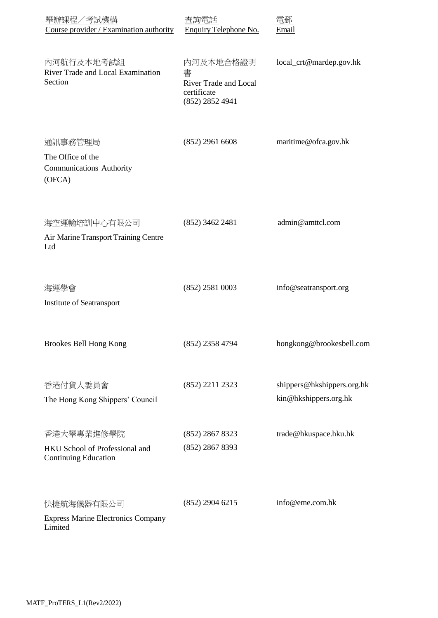| 舉辦課程/考試機構<br>Course provider / Examination authority                        | 否詢電話<br>Enquiry Telephone No.                                             | Email                                               |
|-----------------------------------------------------------------------------|---------------------------------------------------------------------------|-----------------------------------------------------|
| 内河航行及本地考試組<br>River Trade and Local Examination<br>Section                  | 内河及本地合格證明<br>書<br>River Trade and Local<br>certificate<br>(852) 2852 4941 | local_crt@mardep.gov.hk                             |
| 通訊事務管理局<br>The Office of the<br><b>Communications Authority</b><br>(OFCA)   | $(852)$ 2961 6608                                                         | maritime@ofca.gov.hk                                |
| 海空運輸培訓中心有限公司<br>Air Marine Transport Training Centre<br>Ltd                 | $(852)$ 3462 2481                                                         | admin@amttcl.com                                    |
| 海運學會<br>Institute of Seatransport                                           | $(852)$ 2581 0003                                                         | info@seatransport.org                               |
| <b>Brookes Bell Hong Kong</b>                                               | (852) 2358 4794                                                           | hongkong@brookesbell.com                            |
| 香港付貨人委員會<br>The Hong Kong Shippers' Council                                 | (852) 2211 2323                                                           | shippers@hkshippers.org.hk<br>kin@hkshippers.org.hk |
| 香港大學專業進修學院<br>HKU School of Professional and<br><b>Continuing Education</b> | (852) 2867 8323<br>(852) 2867 8393                                        | trade@hkuspace.hku.hk                               |
| 快捷航海儀器有限公司<br><b>Express Marine Electronics Company</b><br>Limited          | $(852)$ 2904 6215                                                         | info@eme.com.hk                                     |